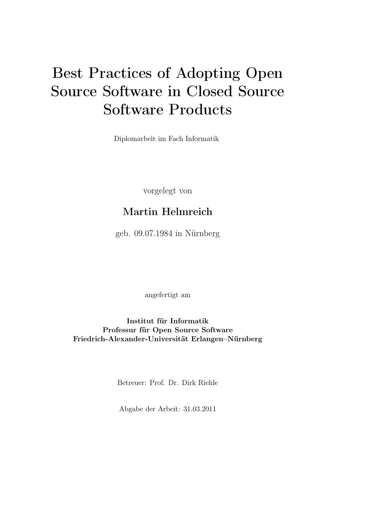# Best Practices of Adopting Open Source Software in Closed Source Software Products

Diplomarbeit im Fach Informatik

vorgelegt von

# Martin Helmreich

geb. 09.07.1984 in Nürnberg

angefertigt am

Institut für Informatik Professur für Open Source Software Friedrich-Alexander-Universität Erlangen–Nürnberg

Betreuer: Prof. Dr. Dirk Riehle

Abgabe der Arbeit: 31.03.2011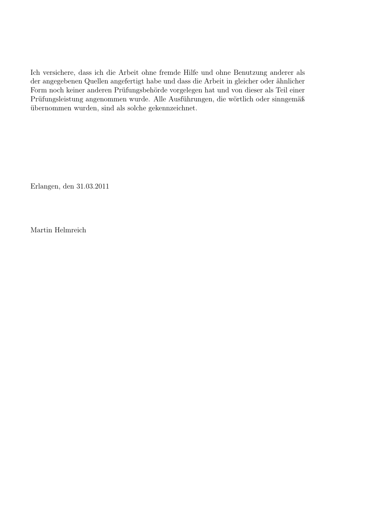Ich versichere, dass ich die Arbeit ohne fremde Hilfe und ohne Benutzung anderer als der angegebenen Quellen angefertigt habe und dass die Arbeit in gleicher oder ähnlicher Form noch keiner anderen Prüfungsbehörde vorgelegen hat und von dieser als Teil einer Prüfungsleistung angenommen wurde. Alle Ausführungen, die wörtlich oder sinngemäß übernommen wurden, sind als solche gekennzeichnet.

Erlangen, den 31.03.2011

Martin Helmreich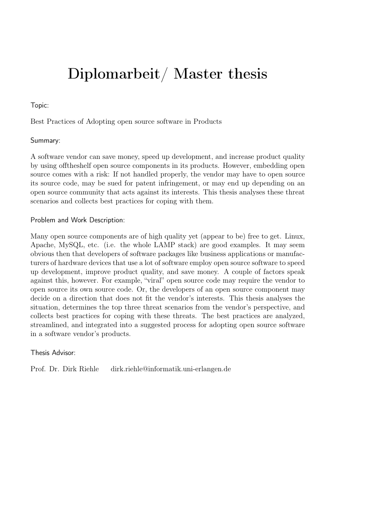# Diplomarbeit/ Master thesis

### Topic:

Best Practices of Adopting open source software in Products

### Summary:

A software vendor can save money, speed up development, and increase product quality by using offtheshelf open source components in its products. However, embedding open source comes with a risk: If not handled properly, the vendor may have to open source its source code, may be sued for patent infringement, or may end up depending on an open source community that acts against its interests. This thesis analyses these threat scenarios and collects best practices for coping with them.

### Problem and Work Description:

Many open source components are of high quality yet (appear to be) free to get. Linux, Apache, MySQL, etc. (i.e. the whole LAMP stack) are good examples. It may seem obvious then that developers of software packages like business applications or manufacturers of hardware devices that use a lot of software employ open source software to speed up development, improve product quality, and save money. A couple of factors speak against this, however. For example, "viral" open source code may require the vendor to open source its own source code. Or, the developers of an open source component may decide on a direction that does not fit the vendor's interests. This thesis analyses the situation, determines the top three threat scenarios from the vendor's perspective, and collects best practices for coping with these threats. The best practices are analyzed, streamlined, and integrated into a suggested process for adopting open source software in a software vendor's products.

### Thesis Advisor:

Prof. Dr. Dirk Riehle dirk.riehle@informatik.uni-erlangen.de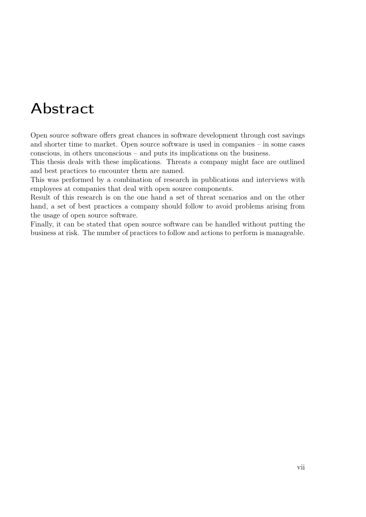# Abstract

Open source software offers great chances in software development through cost savings and shorter time to market. Open source software is used in companies – in some cases conscious, in others unconscious – and puts its implications on the business.

This thesis deals with these implications. Threats a company might face are outlined and best practices to encounter them are named.

This was performed by a combination of research in publications and interviews with employees at companies that deal with open source components.

Result of this research is on the one hand a set of threat scenarios and on the other hand, a set of best practices a company should follow to avoid problems arising from the usage of open source software.

Finally, it can be stated that open source software can be handled without putting the business at risk. The number of practices to follow and actions to perform is manageable.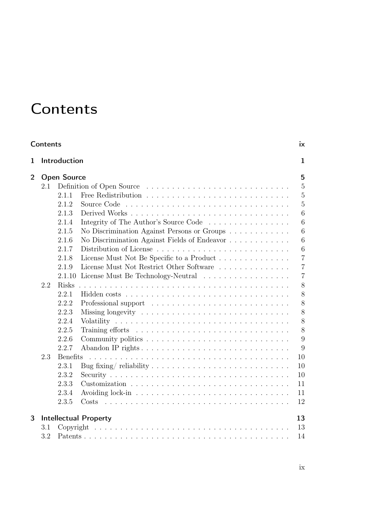# <span id="page-8-0"></span>**Contents**

|                | ix<br>Contents     |                 |                                              |                |  |  |  |  |  |  |  |
|----------------|--------------------|-----------------|----------------------------------------------|----------------|--|--|--|--|--|--|--|
| 1              | Introduction       |                 | $\mathbf{1}$                                 |                |  |  |  |  |  |  |  |
| $\overline{2}$ | <b>Open Source</b> |                 |                                              |                |  |  |  |  |  |  |  |
|                | 2.1                |                 | Definition of Open Source                    | $\overline{5}$ |  |  |  |  |  |  |  |
|                |                    | 2.1.1           |                                              | $\overline{5}$ |  |  |  |  |  |  |  |
|                |                    | 2.1.2           |                                              | $\overline{5}$ |  |  |  |  |  |  |  |
|                |                    | 2.1.3           |                                              | 6              |  |  |  |  |  |  |  |
|                |                    | 2.1.4           | Integrity of The Author's Source Code        | 6              |  |  |  |  |  |  |  |
|                |                    | 2.1.5           | No Discrimination Against Persons or Groups  | 6              |  |  |  |  |  |  |  |
|                |                    | 2.1.6           | No Discrimination Against Fields of Endeavor | 6              |  |  |  |  |  |  |  |
|                |                    | 2.1.7           |                                              | 6              |  |  |  |  |  |  |  |
|                |                    | 2.1.8           | License Must Not Be Specific to a Product    | $\overline{7}$ |  |  |  |  |  |  |  |
|                |                    | 2.1.9           | License Must Not Restrict Other Software     | $\overline{7}$ |  |  |  |  |  |  |  |
|                |                    | 2.1.10          | License Must Be Technology-Neutral           | $\overline{7}$ |  |  |  |  |  |  |  |
|                | 2.2                | <b>Risks</b>    |                                              | 8              |  |  |  |  |  |  |  |
|                |                    | 2.2.1           |                                              | 8              |  |  |  |  |  |  |  |
|                |                    | 2.2.2           |                                              | 8              |  |  |  |  |  |  |  |
|                |                    | 2.2.3           |                                              | 8              |  |  |  |  |  |  |  |
|                |                    | 2.2.4           |                                              | 8              |  |  |  |  |  |  |  |
|                |                    | 2.2.5           |                                              | 8              |  |  |  |  |  |  |  |
|                |                    | 2.2.6           |                                              | 9              |  |  |  |  |  |  |  |
|                |                    | 2.2.7           | Abandon IP rights                            | 9              |  |  |  |  |  |  |  |
|                | 2.3                | <b>Benefits</b> |                                              | 10             |  |  |  |  |  |  |  |
|                |                    | 2.3.1           |                                              | 10             |  |  |  |  |  |  |  |
|                |                    | 2.3.2           |                                              | 10             |  |  |  |  |  |  |  |
|                |                    | 2.3.3           |                                              | 11             |  |  |  |  |  |  |  |
|                |                    | 2.3.4           |                                              | 11             |  |  |  |  |  |  |  |
|                |                    | 2.3.5           | Costs                                        | 12             |  |  |  |  |  |  |  |
| 3              |                    |                 | <b>Intellectual Property</b>                 | 13             |  |  |  |  |  |  |  |
|                | 3.1                |                 |                                              | 13             |  |  |  |  |  |  |  |
|                | 3.2                |                 |                                              | 14             |  |  |  |  |  |  |  |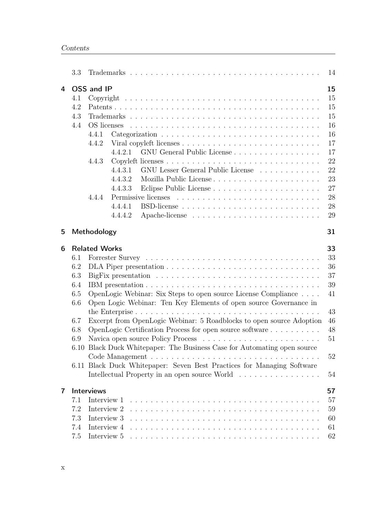|   | 3.3                                                         | 14                                                                                                                                                                                                                                                                                                                                                                                                                                                                                                                                                                             |  |  |  |  |
|---|-------------------------------------------------------------|--------------------------------------------------------------------------------------------------------------------------------------------------------------------------------------------------------------------------------------------------------------------------------------------------------------------------------------------------------------------------------------------------------------------------------------------------------------------------------------------------------------------------------------------------------------------------------|--|--|--|--|
| 4 | 4.1<br>4.2<br>4.3<br>4.4                                    | OSS and IP<br>15<br>15<br>15<br>15<br>16<br>16<br>4.4.1<br>17<br>4.4.2<br>17<br>GNU General Public License<br>4.4.2.1<br>22<br>4.4.3<br>GNU Lesser General Public License<br>22<br>4.4.3.1<br>23<br>4.4.3.2<br>27<br>4.4.3.3<br>28<br>4.4.4<br>28<br>4.4.4.1<br>29<br>4.4.4.2                                                                                                                                                                                                                                                                                                  |  |  |  |  |
| 5 |                                                             | Methodology<br>31                                                                                                                                                                                                                                                                                                                                                                                                                                                                                                                                                              |  |  |  |  |
| 6 | 6.1<br>6.2<br>6.3<br>6.4<br>6.5<br>6.6<br>6.7<br>6.8<br>6.9 | 33<br><b>Related Works</b><br>33<br>36<br>37<br>39<br>OpenLogic Webinar: Six Steps to open source License Compliance<br>41<br>Open Logic Webinar: Ten Key Elements of open source Governance in<br>43<br>Excerpt from OpenLogic Webinar: 5 Roadblocks to open source Adoption<br>46<br>OpenLogic Certification Process for open source software<br>48<br>51<br>6.10 Black Duck Whitepaper: The Business Case for Automating open source<br>52<br>6.11 Black Duck Whitepaper: Seven Best Practices for Managing Software<br>Intellectual Property in an open source World<br>54 |  |  |  |  |
| 7 | 7.1<br>7.2<br>7.3<br>7.4<br>7.5                             | Interviews<br>57<br>57<br>Interview 1<br>Interview 2<br>59<br>Interview 3<br>60<br>Interview 4<br>61<br>Interview 5<br>62                                                                                                                                                                                                                                                                                                                                                                                                                                                      |  |  |  |  |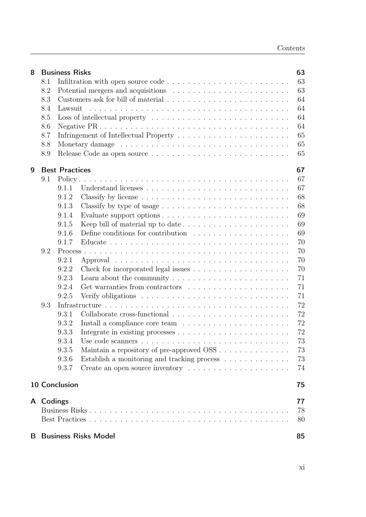| 8  | 63<br><b>Business Risks</b> |                                                                                            |                                                                                        |          |  |  |  |  |  |
|----|-----------------------------|--------------------------------------------------------------------------------------------|----------------------------------------------------------------------------------------|----------|--|--|--|--|--|
|    | 8.1                         | Infiltration with open source code $\dots \dots \dots \dots \dots \dots \dots \dots \dots$ |                                                                                        |          |  |  |  |  |  |
|    | 8.2<br>8.3                  |                                                                                            |                                                                                        |          |  |  |  |  |  |
|    |                             |                                                                                            |                                                                                        |          |  |  |  |  |  |
|    | 8.4                         | Lawsuit                                                                                    |                                                                                        | 64<br>64 |  |  |  |  |  |
|    | 8.5                         |                                                                                            | 64                                                                                     |          |  |  |  |  |  |
|    | 8.6                         |                                                                                            |                                                                                        | 64       |  |  |  |  |  |
|    | 8.7                         |                                                                                            |                                                                                        | 65       |  |  |  |  |  |
|    | 8.8                         |                                                                                            |                                                                                        |          |  |  |  |  |  |
|    | 8.9                         |                                                                                            |                                                                                        | 65<br>65 |  |  |  |  |  |
|    |                             |                                                                                            |                                                                                        |          |  |  |  |  |  |
| 9  |                             | <b>Best Practices</b>                                                                      |                                                                                        | 67       |  |  |  |  |  |
|    | 9.1                         |                                                                                            |                                                                                        | 67       |  |  |  |  |  |
|    |                             | 9.1.1                                                                                      |                                                                                        | 67       |  |  |  |  |  |
|    |                             | 9.1.2                                                                                      |                                                                                        | 68       |  |  |  |  |  |
|    |                             | 9.1.3                                                                                      |                                                                                        | 68       |  |  |  |  |  |
|    |                             | 9.1.4                                                                                      |                                                                                        | 69       |  |  |  |  |  |
|    |                             | 9.1.5                                                                                      |                                                                                        | 69       |  |  |  |  |  |
|    |                             | 9.1.6                                                                                      | Define conditions for contribution $\ldots \ldots \ldots \ldots \ldots \ldots$         | 69       |  |  |  |  |  |
|    |                             | 9.1.7                                                                                      |                                                                                        | 70       |  |  |  |  |  |
|    | 9.2                         |                                                                                            |                                                                                        | 70       |  |  |  |  |  |
|    |                             | 9.2.1                                                                                      |                                                                                        | 70       |  |  |  |  |  |
|    |                             | 9.2.2                                                                                      |                                                                                        | 70       |  |  |  |  |  |
|    |                             | 9.2.3                                                                                      | Learn about the community $\dots \dots \dots \dots \dots \dots \dots \dots$            | 71       |  |  |  |  |  |
|    |                             | 9.2.4                                                                                      |                                                                                        | 71       |  |  |  |  |  |
|    |                             | 9.2.5                                                                                      | Verify obligations $\dots \dots \dots \dots \dots \dots \dots \dots \dots \dots \dots$ | 71       |  |  |  |  |  |
|    | 9.3                         |                                                                                            |                                                                                        | 72       |  |  |  |  |  |
|    |                             | 9.3.1                                                                                      |                                                                                        | 72       |  |  |  |  |  |
|    |                             | 9.3.2                                                                                      |                                                                                        | 72       |  |  |  |  |  |
|    |                             | 9.3.3                                                                                      |                                                                                        | 72       |  |  |  |  |  |
|    |                             | 9.3.4                                                                                      |                                                                                        | 73       |  |  |  |  |  |
|    |                             | 9.3.5                                                                                      |                                                                                        | 73       |  |  |  |  |  |
|    |                             | 9.3.6                                                                                      | Establish a monitoring and tracking process $\hfill\ldots\ldots\ldots\ldots\ldots$     | 73       |  |  |  |  |  |
|    |                             | 9.3.7                                                                                      | Create an open source inventory                                                        | 74       |  |  |  |  |  |
|    |                             | 10 Conclusion                                                                              |                                                                                        | 75       |  |  |  |  |  |
|    |                             |                                                                                            |                                                                                        |          |  |  |  |  |  |
|    | A Codings                   |                                                                                            |                                                                                        | 77       |  |  |  |  |  |
|    | 78                          |                                                                                            |                                                                                        |          |  |  |  |  |  |
|    |                             |                                                                                            |                                                                                        | 80       |  |  |  |  |  |
| B. |                             |                                                                                            | <b>Business Risks Model</b>                                                            | 85       |  |  |  |  |  |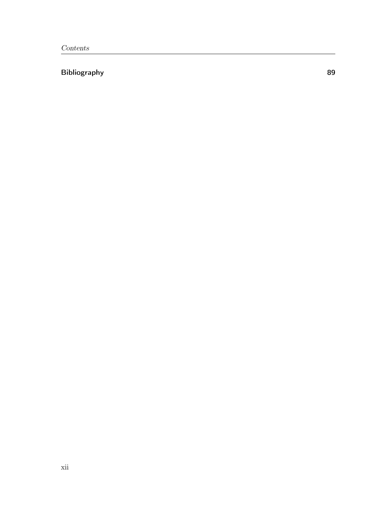# [Bibliography](#page-100-0) **89**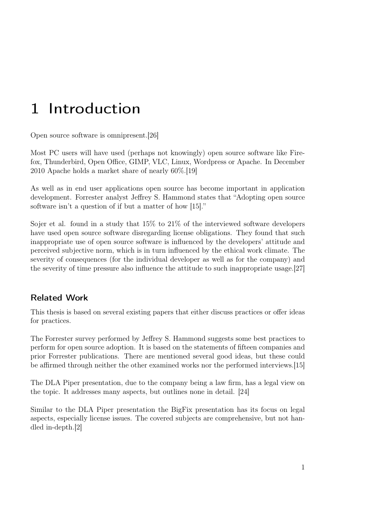# <span id="page-12-0"></span>1 Introduction

Open source software is omnipresent.[\[26\]](#page-101-0)

Most PC users will have used (perhaps not knowingly) open source software like Firefox, Thunderbird, Open Office, GIMP, VLC, Linux, Wordpress or Apache. In December 2010 Apache holds a market share of nearly 60%.[\[19\]](#page-101-1)

As well as in end user applications open source has become important in application development. Forrester analyst Jeffrey S. Hammond states that "Adopting open source software isn't a question of if but a matter of how [\[15\]](#page-101-2)."

Sojer et al. found in a study that 15% to 21% of the interviewed software developers have used open source software disregarding license obligations. They found that such inappropriate use of open source software is influenced by the developers' attitude and perceived subjective norm, which is in turn influenced by the ethical work climate. The severity of consequences (for the individual developer as well as for the company) and the severity of time pressure also influence the attitude to such inappropriate usage.[\[27\]](#page-102-0)

## Related Work

This thesis is based on several existing papers that either discuss practices or offer ideas for practices.

The Forrester survey performed by Jeffrey S. Hammond suggests some best practices to perform for open source adoption. It is based on the statements of fifteen companies and prior Forrester publications. There are mentioned several good ideas, but these could be affirmed through neither the other examined works nor the performed interviews.[\[15\]](#page-101-2)

The DLA Piper presentation, due to the company being a law firm, has a legal view on the topic. It addresses many aspects, but outlines none in detail. [\[24\]](#page-101-3)

Similar to the DLA Piper presentation the BigFix presentation has its focus on legal aspects, especially license issues. The covered subjects are comprehensive, but not handled in-depth.[\[2\]](#page-100-1)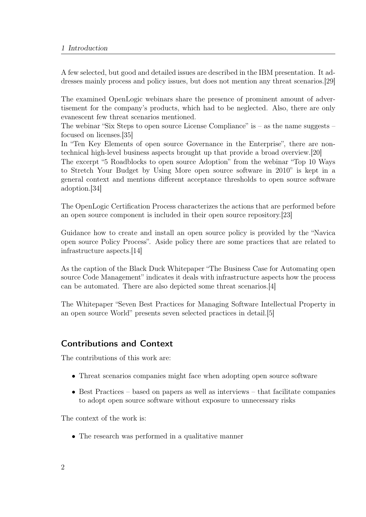A few selected, but good and detailed issues are described in the IBM presentation. It addresses mainly process and policy issues, but does not mention any threat scenarios.[\[29\]](#page-102-1)

The examined OpenLogic webinars share the presence of prominent amount of advertisement for the company's products, which had to be neglected. Also, there are only evanescent few threat scenarios mentioned.

The webinar "Six Steps to open source License Compliance" is  $-$  as the name suggests  $$ focused on licenses.[\[35\]](#page-102-2)

In "Ten Key Elements of open source Governance in the Enterprise", there are nontechnical high-level business aspects brought up that provide a broad overview.[\[20\]](#page-101-4)

The excerpt "5 Roadblocks to open source Adoption" from the webinar "Top 10 Ways to Stretch Your Budget by Using More open source software in 2010" is kept in a general context and mentions different acceptance thresholds to open source software adoption.[\[34\]](#page-102-3)

The OpenLogic Certification Process characterizes the actions that are performed before an open source component is included in their open source repository.[\[23\]](#page-101-5)

Guidance how to create and install an open source policy is provided by the "Navica open source Policy Process". Aside policy there are some practices that are related to infrastructure aspects.[\[14\]](#page-101-6)

As the caption of the Black Duck Whitepaper "The Business Case for Automating open source Code Management" indicates it deals with infrastructure aspects how the process can be automated. There are also depicted some threat scenarios.[\[4\]](#page-100-2)

The Whitepaper "Seven Best Practices for Managing Software Intellectual Property in an open source World" presents seven selected practices in detail.[\[5\]](#page-100-3)

## Contributions and Context

The contributions of this work are:

- Threat scenarios companies might face when adopting open source software
- Best Practices based on papers as well as interviews that facilitate companies to adopt open source software without exposure to unnecessary risks

The context of the work is:

• The research was performed in a qualitative manner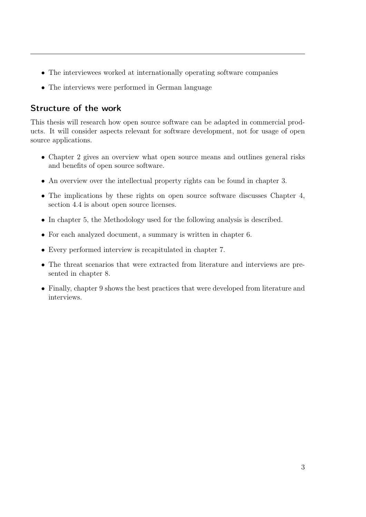- The interviewees worked at internationally operating software companies
- The interviews were performed in German language

## Structure of the work

This thesis will research how open source software can be adapted in commercial products. It will consider aspects relevant for software development, not for usage of open source applications.

- Chapter [2](#page-16-0) gives an overview what open source means and outlines general risks and benefits of open source software.
- An overview over the intellectual property rights can be found in chapter [3.](#page-24-0)
- The implications by these rights on open source software discusses Chapter [4,](#page-26-0) section [4.4](#page-27-0) is about open source licenses.
- In chapter [5,](#page-42-0) the Methodology used for the following analysis is described.
- For each analyzed document, a summary is written in chapter [6.](#page-44-0)
- Every performed interview is recapitulated in chapter [7.](#page-68-0)
- The threat scenarios that were extracted from literature and interviews are presented in chapter [8.](#page-74-0)
- Finally, chapter [9](#page-78-0) shows the best practices that were developed from literature and interviews.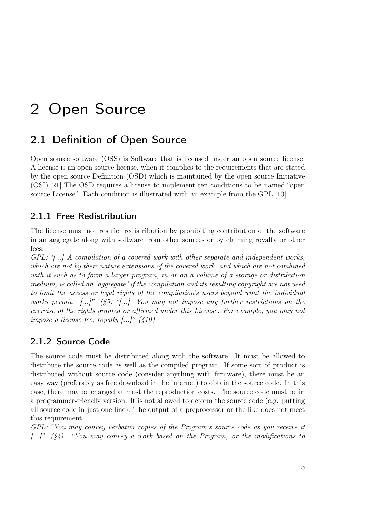# <span id="page-16-0"></span>2 Open Source

# <span id="page-16-1"></span>2.1 Definition of Open Source

Open source software (OSS) is Software that is licensed under an open source license. A license is an open source license, when it complies to the requirements that are stated by the open source Definition (OSD) which is maintained by the open source Initiative (OSI).[\[21\]](#page-101-7) The OSD requires a license to implement ten conditions to be named "open source License". Each condition is illustrated with an example from the GPL.[\[10\]](#page-100-4)

### <span id="page-16-2"></span>2.1.1 Free Redistribution

The license must not restrict redistribution by prohibiting contribution of the software in an aggregate along with software from other sources or by claiming royalty or other fees.

GPL: "[...] A compilation of a covered work with other separate and independent works, which are not by their nature extensions of the covered work, and which are not combined with it such as to form a larger program, in or on a volume of a storage or distribution medium, is called an 'aggregate' if the compilation and its resulting copyright are not used to limit the access or legal rights of the compilation's users beyond what the individual works permit.  $[\ldots]$ " (§5) " $[\ldots]$  You may not impose any further restrictions on the exercise of the rights granted or affirmed under this License. For example, you may not impose a license fee, royalty  $\left\lfloor \frac{m}{s} \right\rfloor$  (§10)

### <span id="page-16-3"></span>2.1.2 Source Code

The source code must be distributed along with the software. It must be allowed to distribute the source code as well as the compiled program. If some sort of product is distributed without source code (consider anything with firmware), there must be an easy way (preferably as free download in the internet) to obtain the source code. In this case, there may be charged at most the reproduction costs. The source code must be in a programmer-friendly version. It is not allowed to deform the source code (e.g. putting all source code in just one line). The output of a preprocessor or the like does not meet this requirement.

GPL: "You may convey verbatim copies of the Program's source code as you receive it  $\left[ \ldots \right]$ " (§4). "You may convey a work based on the Program, or the modifications to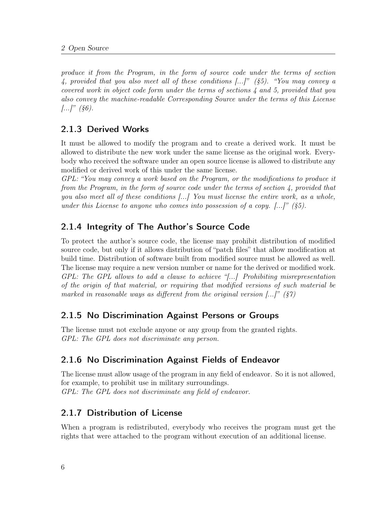produce it from the Program, in the form of source code under the terms of section 4, provided that you also meet all of these conditions  $\langle ... \rangle$ " (§5). "You may convey a covered work in object code form under the terms of sections 4 and 5, provided that you also convey the machine-readable Corresponding Source under the terms of this License  $[...]$ " (§6).

### <span id="page-17-0"></span>2.1.3 Derived Works

It must be allowed to modify the program and to create a derived work. It must be allowed to distribute the new work under the same license as the original work. Everybody who received the software under an open source license is allowed to distribute any modified or derived work of this under the same license.

GPL: "You may convey a work based on the Program, or the modifications to produce it from the Program, in the form of source code under the terms of section 4, provided that you also meet all of these conditions [...] You must license the entire work, as a whole, under this License to anyone who comes into possession of a copy.  $[\ldots]$ " (§5).

### <span id="page-17-1"></span>2.1.4 Integrity of The Author's Source Code

To protect the author's source code, the license may prohibit distribution of modified source code, but only if it allows distribution of "patch files" that allow modification at build time. Distribution of software built from modified source must be allowed as well. The license may require a new version number or name for the derived or modified work. GPL: The GPL allows to add a clause to achieve "[...] Prohibiting misrepresentation of the origin of that material, or requiring that modified versions of such material be marked in reasonable ways as different from the original version  $\ldots$ " (§7)

### <span id="page-17-2"></span>2.1.5 No Discrimination Against Persons or Groups

The license must not exclude anyone or any group from the granted rights. GPL: The GPL does not discriminate any person.

### <span id="page-17-3"></span>2.1.6 No Discrimination Against Fields of Endeavor

The license must allow usage of the program in any field of endeavor. So it is not allowed, for example, to prohibit use in military surroundings. GPL: The GPL does not discriminate any field of endeavor.

### <span id="page-17-4"></span>2.1.7 Distribution of License

When a program is redistributed, everybody who receives the program must get the rights that were attached to the program without execution of an additional license.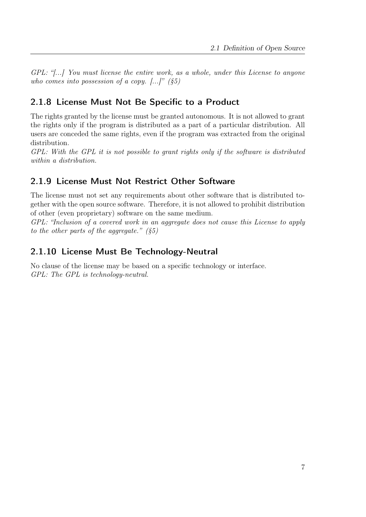GPL: "[...] You must license the entire work, as a whole, under this License to anyone who comes into possession of a copy.  $[...]$  (§5)

### <span id="page-18-0"></span>2.1.8 License Must Not Be Specific to a Product

The rights granted by the license must be granted autonomous. It is not allowed to grant the rights only if the program is distributed as a part of a particular distribution. All users are conceded the same rights, even if the program was extracted from the original distribution.

GPL: With the GPL it is not possible to grant rights only if the software is distributed within a distribution.

### <span id="page-18-1"></span>2.1.9 License Must Not Restrict Other Software

The license must not set any requirements about other software that is distributed together with the open source software. Therefore, it is not allowed to prohibit distribution of other (even proprietary) software on the same medium.

GPL: "Inclusion of a covered work in an aggregate does not cause this License to apply to the other parts of the aggregate."  $(§5)$ 

### <span id="page-18-2"></span>2.1.10 License Must Be Technology-Neutral

No clause of the license may be based on a specific technology or interface. GPL: The GPL is technology-neutral.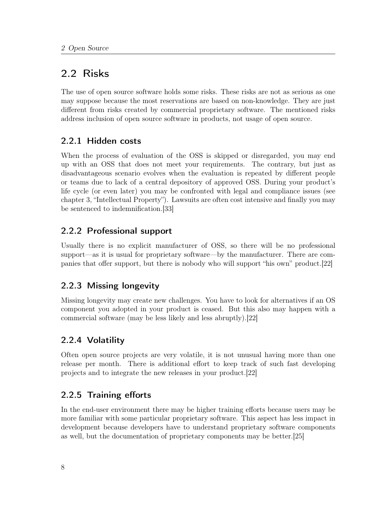# <span id="page-19-0"></span>2.2 Risks

The use of open source software holds some risks. These risks are not as serious as one may suppose because the most reservations are based on non-knowledge. They are just different from risks created by commercial proprietary software. The mentioned risks address inclusion of open source software in products, not usage of open source.

## <span id="page-19-1"></span>2.2.1 Hidden costs

When the process of evaluation of the OSS is skipped or disregarded, you may end up with an OSS that does not meet your requirements. The contrary, but just as disadvantageous scenario evolves when the evaluation is repeated by different people or teams due to lack of a central depository of approved OSS. During your product's life cycle (or even later) you may be confronted with legal and compliance issues (see chapter [3,](#page-24-0) "Intellectual Property"). Lawsuits are often cost intensive and finally you may be sentenced to indemnification.[\[33\]](#page-102-4)

### <span id="page-19-2"></span>2.2.2 Professional support

Usually there is no explicit manufacturer of OSS, so there will be no professional support—as it is usual for proprietary software—by the manufacturer. There are companies that offer support, but there is nobody who will support "his own" product.[\[22\]](#page-101-8)

## <span id="page-19-3"></span>2.2.3 Missing longevity

Missing longevity may create new challenges. You have to look for alternatives if an OS component you adopted in your product is ceased. But this also may happen with a commercial software (may be less likely and less abruptly).[\[22\]](#page-101-8)

## <span id="page-19-4"></span>2.2.4 Volatility

Often open source projects are very volatile, it is not unusual having more than one release per month. There is additional effort to keep track of such fast developing projects and to integrate the new releases in your product.[\[22\]](#page-101-8)

## <span id="page-19-5"></span>2.2.5 Training efforts

In the end-user environment there may be higher training efforts because users may be more familiar with some particular proprietary software. This aspect has less impact in development because developers have to understand proprietary software components as well, but the documentation of proprietary components may be better.[\[25\]](#page-101-9)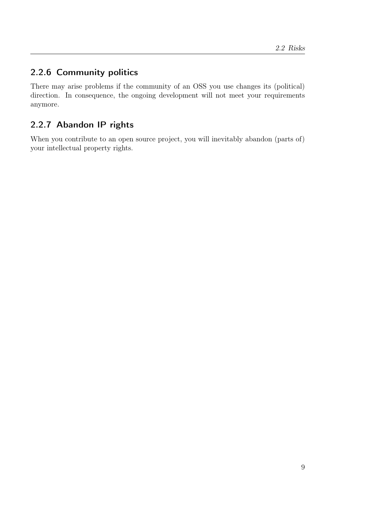# <span id="page-20-0"></span>2.2.6 Community politics

There may arise problems if the community of an OSS you use changes its (political) direction. In consequence, the ongoing development will not meet your requirements anymore.

# <span id="page-20-1"></span>2.2.7 Abandon IP rights

When you contribute to an open source project, you will inevitably abandon (parts of) your intellectual property rights.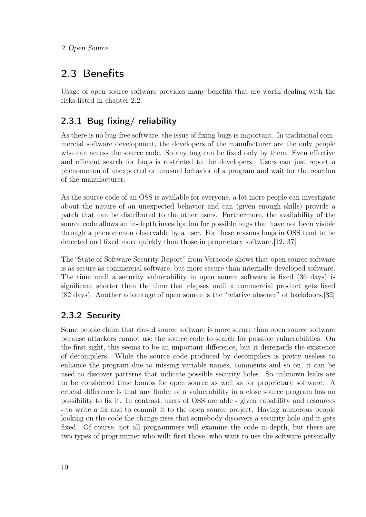# <span id="page-21-0"></span>2.3 Benefits

Usage of open source software provides many benefits that are worth dealing with the risks listed in chapter [2.2.](#page-19-0)

# <span id="page-21-1"></span>2.3.1 Bug fixing/ reliability

As there is no bug-free software, the issue of fixing bugs is important. In traditional commercial software development, the developers of the manufacturer are the only people who can access the source code. So any bug can be fixed only by them. Even effective and efficient search for bugs is restricted to the developers. Users can just report a phenomenon of unexpected or unusual behavior of a program and wait for the reaction of the manufacturer.

As the source code of an OSS is available for everyone, a lot more people can investigate about the nature of an unexpected behavior and can (given enough skills) provide a patch that can be distributed to the other users. Furthermore, the availability of the source code allows an in-depth investigation for possible bugs that have not been visible through a phenomenon observable by a user. For these reasons bugs in OSS tend to be detected and fixed more quickly than those in proprietary software.[\[12,](#page-100-5) [37\]](#page-102-5)

The "State of Software Security Report" from Veracode shows that open source software is as secure as commercial software, but more secure than internally developed software. The time until a security vulnerability in open source software is fixed (36 days) is significant shorter than the time that elapses until a commercial product gets fixed (82 days). Another advantage of open source is the "relative absence" of backdoors.[\[32\]](#page-102-6)

# <span id="page-21-2"></span>2.3.2 Security

Some people claim that closed source software is more secure than open source software because attackers cannot use the source code to search for possible vulnerabilities. On the first sight, this seems to be an important difference, but it disregards the existence of decompilers. While the source code produced by decompilers is pretty useless to enhance the program due to missing variable names, comments and so on, it can be used to discover patterns that indicate possible security holes. So unknown leaks are to be considered time bombs for open source as well as for proprietary software. A crucial difference is that any finder of a vulnerability in a close source program has no possibility to fix it. In contrast, users of OSS are able - given capability and resources - to write a fix and to commit it to the open source project. Having numerous people looking on the code the change rises that somebody discovers a security hole and it gets fixed. Of course, not all programmers will examine the code in-depth, but there are two types of programmer who will: first those, who want to use the software personally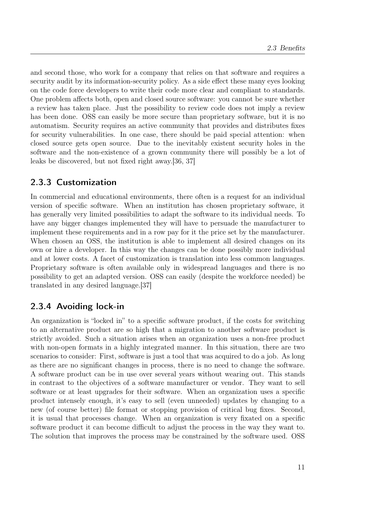and second those, who work for a company that relies on that software and requires a security audit by its information-security policy. As a side effect these many eyes looking on the code force developers to write their code more clear and compliant to standards. One problem affects both, open and closed source software: you cannot be sure whether a review has taken place. Just the possibility to review code does not imply a review has been done. OSS can easily be more secure than proprietary software, but it is no automatism. Security requires an active community that provides and distributes fixes for security vulnerabilities. In one case, there should be paid special attention: when closed source gets open source. Due to the inevitably existent security holes in the software and the non-existence of a grown community there will possibly be a lot of leaks be discovered, but not fixed right away.[\[36,](#page-102-7) [37\]](#page-102-5)

### <span id="page-22-0"></span>2.3.3 Customization

In commercial and educational environments, there often is a request for an individual version of specific software. When an institution has chosen proprietary software, it has generally very limited possibilities to adapt the software to its individual needs. To have any bigger changes implemented they will have to persuade the manufacturer to implement these requirements and in a row pay for it the price set by the manufacturer. When chosen an OSS, the institution is able to implement all desired changes on its own or hire a developer. In this way the changes can be done possibly more individual and at lower costs. A facet of customization is translation into less common languages. Proprietary software is often available only in widespread languages and there is no possibility to get an adapted version. OSS can easily (despite the workforce needed) be translated in any desired language.[\[37\]](#page-102-5)

### <span id="page-22-1"></span>2.3.4 Avoiding lock-in

An organization is "locked in" to a specific software product, if the costs for switching to an alternative product are so high that a migration to another software product is strictly avoided. Such a situation arises when an organization uses a non-free product with non-open formats in a highly integrated manner. In this situation, there are two scenarios to consider: First, software is just a tool that was acquired to do a job. As long as there are no significant changes in process, there is no need to change the software. A software product can be in use over several years without wearing out. This stands in contrast to the objectives of a software manufacturer or vendor. They want to sell software or at least upgrades for their software. When an organization uses a specific product intensely enough, it's easy to sell (even unneeded) updates by changing to a new (of course better) file format or stopping provision of critical bug fixes. Second, it is usual that processes change. When an organization is very fixated on a specific software product it can become difficult to adjust the process in the way they want to. The solution that improves the process may be constrained by the software used. OSS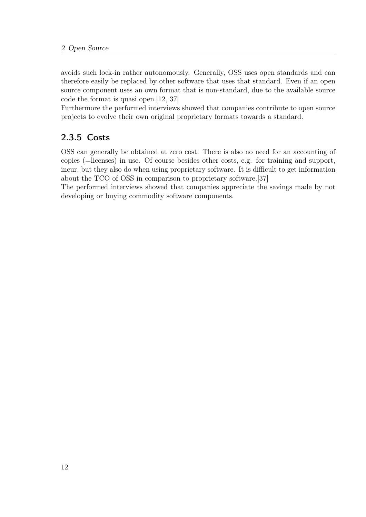avoids such lock-in rather autonomously. Generally, OSS uses open standards and can therefore easily be replaced by other software that uses that standard. Even if an open source component uses an own format that is non-standard, due to the available source code the format is quasi open.[\[12,](#page-100-5) [37\]](#page-102-5)

Furthermore the performed interviews showed that companies contribute to open source projects to evolve their own original proprietary formats towards a standard.

# <span id="page-23-0"></span>2.3.5 Costs

OSS can generally be obtained at zero cost. There is also no need for an accounting of copies (=licenses) in use. Of course besides other costs, e.g. for training and support, incur, but they also do when using proprietary software. It is difficult to get information about the TCO of OSS in comparison to proprietary software.[\[37\]](#page-102-5)

The performed interviews showed that companies appreciate the savings made by not developing or buying commodity software components.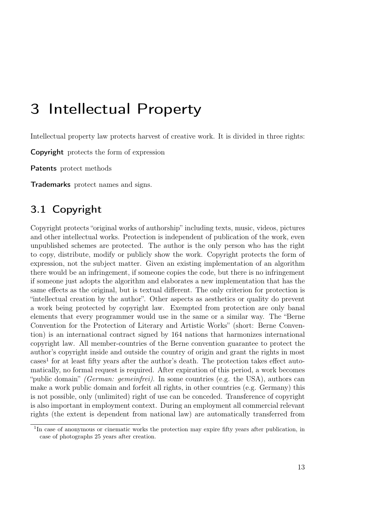# <span id="page-24-0"></span>3 Intellectual Property

Intellectual property law protects harvest of creative work. It is divided in three rights:

Copyright protects the form of expression

Patents protect methods

Trademarks protect names and signs.

# <span id="page-24-1"></span>3.1 Copyright

Copyright protects "original works of authorship" including texts, music, videos, pictures and other intellectual works. Protection is independent of publication of the work, even unpublished schemes are protected. The author is the only person who has the right to copy, distribute, modify or publicly show the work. Copyright protects the form of expression, not the subject matter. Given an existing implementation of an algorithm there would be an infringement, if someone copies the code, but there is no infringement if someone just adopts the algorithm and elaborates a new implementation that has the same effects as the original, but is textual different. The only criterion for protection is "intellectual creation by the author". Other aspects as aesthetics or quality do prevent a work being protected by copyright law. Exempted from protection are only banal elements that every programmer would use in the same or a similar way. The "Berne Convention for the Protection of Literary and Artistic Works" (short: Berne Convention) is an international contract signed by 164 nations that harmonizes international copyright law. All member-countries of the Berne convention guarantee to protect the author's copyright inside and outside the country of origin and grant the rights in most cases<sup>[1](#page-24-2)</sup> for at least fifty years after the author's death. The protection takes effect automatically, no formal request is required. After expiration of this period, a work becomes "public domain" *(German: gemeinfrei)*. In some countries (e.g. the USA), authors can make a work public domain and forfeit all rights, in other countries (e.g. Germany) this is not possible, only (unlimited) right of use can be conceded. Transference of copyright is also important in employment context. During an employment all commercial relevant rights (the extent is dependent from national law) are automatically transferred from

<span id="page-24-2"></span><sup>&</sup>lt;sup>1</sup>In case of anonymous or cinematic works the protection may expire fifty years after publication, in case of photographs 25 years after creation.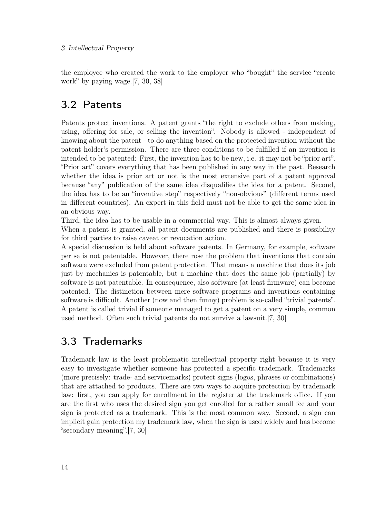the employee who created the work to the employer who "bought" the service "create work" by paying wage.[\[7,](#page-100-6) [30,](#page-102-8) [38\]](#page-102-9)

# <span id="page-25-0"></span>3.2 Patents

Patents protect inventions. A patent grants "the right to exclude others from making, using, offering for sale, or selling the invention". Nobody is allowed - independent of knowing about the patent - to do anything based on the protected invention without the patent holder's permission. There are three conditions to be fulfilled if an invention is intended to be patented: First, the invention has to be new, i.e. it may not be "prior art". "Prior art" covers everything that has been published in any way in the past. Research whether the idea is prior art or not is the most extensive part of a patent approval because "any" publication of the same idea disqualifies the idea for a patent. Second, the idea has to be an "inventive step" respectively "non-obvious" (different terms used in different countries). An expert in this field must not be able to get the same idea in an obvious way.

Third, the idea has to be usable in a commercial way. This is almost always given.

When a patent is granted, all patent documents are published and there is possibility for third parties to raise caveat or revocation action.

A special discussion is held about software patents. In Germany, for example, software per se is not patentable. However, there rose the problem that inventions that contain software were excluded from patent protection. That means a machine that does its job just by mechanics is patentable, but a machine that does the same job (partially) by software is not patentable. In consequence, also software (at least firmware) can become patented. The distinction between mere software programs and inventions containing software is difficult. Another (now and then funny) problem is so-called "trivial patents". A patent is called trivial if someone managed to get a patent on a very simple, common used method. Often such trivial patents do not survive a lawsuit.[\[7,](#page-100-6) [30\]](#page-102-8)

# <span id="page-25-1"></span>3.3 Trademarks

Trademark law is the least problematic intellectual property right because it is very easy to investigate whether someone has protected a specific trademark. Trademarks (more precisely: trade- and servicemarks) protect signs (logos, phrases or combinations) that are attached to products. There are two ways to acquire protection by trademark law: first, you can apply for enrollment in the register at the trademark office. If you are the first who uses the desired sign you get enrolled for a rather small fee and your sign is protected as a trademark. This is the most common way. Second, a sign can implicit gain protection my trademark law, when the sign is used widely and has become "secondary meaning".[\[7,](#page-100-6) [30\]](#page-102-8)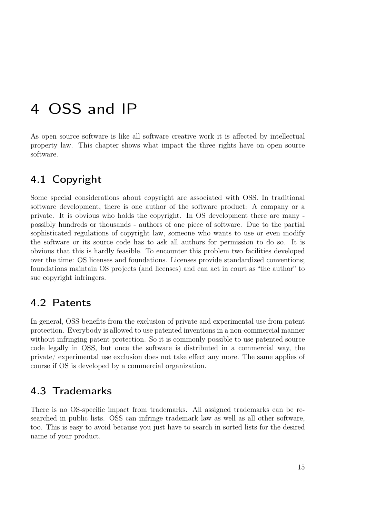# <span id="page-26-0"></span>4 OSS and IP

As open source software is like all software creative work it is affected by intellectual property law. This chapter shows what impact the three rights have on open source software.

# <span id="page-26-1"></span>4.1 Copyright

Some special considerations about copyright are associated with OSS. In traditional software development, there is one author of the software product: A company or a private. It is obvious who holds the copyright. In OS development there are many possibly hundreds or thousands - authors of one piece of software. Due to the partial sophisticated regulations of copyright law, someone who wants to use or even modify the software or its source code has to ask all authors for permission to do so. It is obvious that this is hardly feasible. To encounter this problem two facilities developed over the time: OS licenses and foundations. Licenses provide standardized conventions; foundations maintain OS projects (and licenses) and can act in court as "the author" to sue copyright infringers.

# <span id="page-26-2"></span>4.2 Patents

In general, OSS benefits from the exclusion of private and experimental use from patent protection. Everybody is allowed to use patented inventions in a non-commercial manner without infringing patent protection. So it is commonly possible to use patented source code legally in OSS, but once the software is distributed in a commercial way, the private/ experimental use exclusion does not take effect any more. The same applies of course if OS is developed by a commercial organization.

# <span id="page-26-3"></span>4.3 Trademarks

There is no OS-specific impact from trademarks. All assigned trademarks can be researched in public lists. OSS can infringe trademark law as well as all other software, too. This is easy to avoid because you just have to search in sorted lists for the desired name of your product.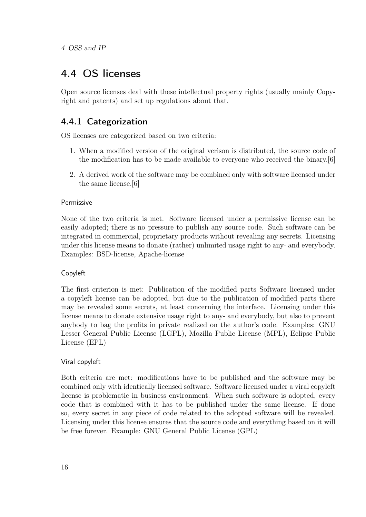# <span id="page-27-0"></span>4.4 OS licenses

Open source licenses deal with these intellectual property rights (usually mainly Copyright and patents) and set up regulations about that.

## <span id="page-27-1"></span>4.4.1 Categorization

OS licenses are categorized based on two criteria:

- 1. When a modified version of the original verison is distributed, the source code of the modification has to be made available to everyone who received the binary.[\[6\]](#page-100-7)
- 2. A derived work of the software may be combined only with software licensed under the same license.[\[6\]](#page-100-7)

### Permissive

None of the two criteria is met. Software licensed under a permissive license can be easily adopted; there is no pressure to publish any source code. Such software can be integrated in commercial, proprietary products without revealing any secrets. Licensing under this license means to donate (rather) unlimited usage right to any- and everybody. Examples: BSD-license, Apache-license

### Copyleft

The first criterion is met: Publication of the modified parts Software licensed under a copyleft license can be adopted, but due to the publication of modified parts there may be revealed some secrets, at least concerning the interface. Licensing under this license means to donate extensive usage right to any- and everybody, but also to prevent anybody to bag the profits in private realized on the author's code. Examples: GNU Lesser General Public License (LGPL), Mozilla Public License (MPL), Eclipse Public License (EPL)

### Viral copyleft

Both criteria are met: modifications have to be published and the software may be combined only with identically licensed software. Software licensed under a viral copyleft license is problematic in business environment. When such software is adopted, every code that is combined with it has to be published under the same license. If done so, every secret in any piece of code related to the adopted software will be revealed. Licensing under this license ensures that the source code and everything based on it will be free forever. Example: GNU General Public License (GPL)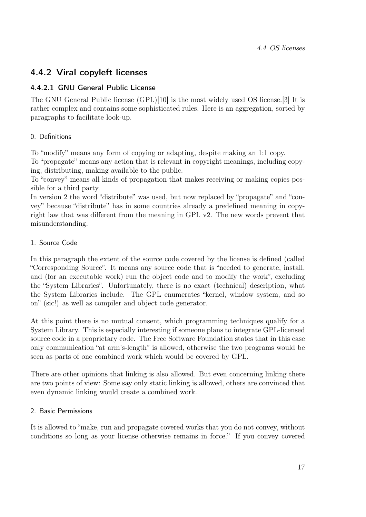### <span id="page-28-0"></span>4.4.2 Viral copyleft licenses

### <span id="page-28-1"></span>4.4.2.1 GNU General Public License

The GNU General Public license (GPL)[\[10\]](#page-100-4) is the most widely used OS license.[\[3\]](#page-100-8) It is rather complex and contains some sophisticated rules. Here is an aggregation, sorted by paragraphs to facilitate look-up.

### 0. Definitions

To "modify" means any form of copying or adapting, despite making an 1:1 copy. To "propagate" means any action that is relevant in copyright meanings, including copying, distributing, making available to the public.

To "convey" means all kinds of propagation that makes receiving or making copies possible for a third party.

In version 2 the word "distribute" was used, but now replaced by "propagate" and "convey" because "distribute" has in some countries already a predefined meaning in copyright law that was different from the meaning in GPL v2. The new words prevent that misunderstanding.

### 1. Source Code

In this paragraph the extent of the source code covered by the license is defined (called "Corresponding Source". It means any source code that is "needed to generate, install, and (for an executable work) run the object code and to modify the work", excluding the "System Libraries". Unfortunately, there is no exact (technical) description, what the System Libraries include. The GPL enumerates "kernel, window system, and so on" (sic!) as well as compiler and object code generator.

At this point there is no mutual consent, which programming techniques qualify for a System Library. This is especially interesting if someone plans to integrate GPL-licensed source code in a proprietary code. The Free Software Foundation states that in this case only communication "at arm's-length" is allowed, otherwise the two programs would be seen as parts of one combined work which would be covered by GPL.

There are other opinions that linking is also allowed. But even concerning linking there are two points of view: Some say only static linking is allowed, others are convinced that even dynamic linking would create a combined work.

### 2. Basic Permissions

It is allowed to "make, run and propagate covered works that you do not convey, without conditions so long as your license otherwise remains in force." If you convey covered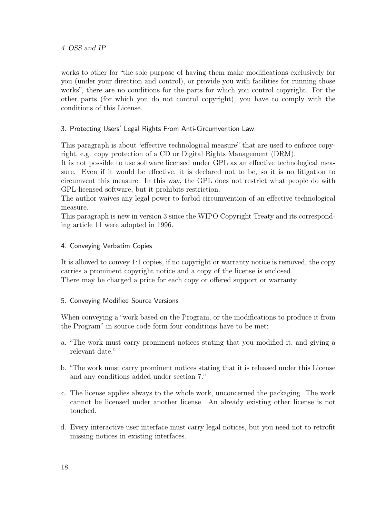works to other for "the sole purpose of having them make modifications exclusively for you (under your direction and control), or provide you with facilities for running those works", there are no conditions for the parts for which you control copyright. For the other parts (for which you do not control copyright), you have to comply with the conditions of this License.

### 3. Protecting Users' Legal Rights From Anti-Circumvention Law

This paragraph is about "effective technological measure" that are used to enforce copyright, e.g. copy protection of a CD or Digital Rights Management (DRM).

It is not possible to use software licensed under GPL as an effective technological measure. Even if it would be effective, it is declared not to be, so it is no litigation to circumvent this measure. In this way, the GPL does not restrict what people do with GPL-licensed software, but it prohibits restriction.

The author waives any legal power to forbid circumvention of an effective technological measure.

This paragraph is new in version 3 since the WIPO Copyright Treaty and its corresponding article 11 were adopted in 1996.

### 4. Conveying Verbatim Copies

It is allowed to convey 1:1 copies, if no copyright or warranty notice is removed, the copy carries a prominent copyright notice and a copy of the license is enclosed. There may be charged a price for each copy or offered support or warranty.

### 5. Conveying Modified Source Versions

When conveying a "work based on the Program, or the modifications to produce it from the Program" in source code form four conditions have to be met:

- a. "The work must carry prominent notices stating that you modified it, and giving a relevant date."
- b. "The work must carry prominent notices stating that it is released under this License and any conditions added under section 7."
- c. The license applies always to the whole work, unconcerned the packaging. The work cannot be licensed under another license. An already existing other license is not touched.
- d. Every interactive user interface must carry legal notices, but you need not to retrofit missing notices in existing interfaces.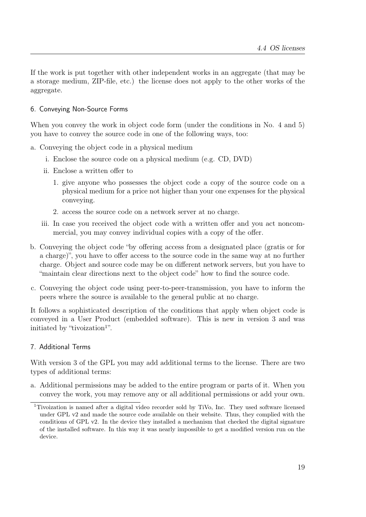If the work is put together with other independent works in an aggregate (that may be a storage medium, ZIP-file, etc.) the license does not apply to the other works of the aggregate.

### 6. Conveying Non-Source Forms

When you convey the work in object code form (under the conditions in No. 4 and 5) you have to convey the source code in one of the following ways, too:

a. Conveying the object code in a physical medium

- i. Enclose the source code on a physical medium (e.g. CD, DVD)
- ii. Enclose a written offer to
	- 1. give anyone who possesses the object code a copy of the source code on a physical medium for a price not higher than your one expenses for the physical conveying.
	- 2. access the source code on a network server at no charge.
- iii. In case you received the object code with a written offer and you act noncommercial, you may convey individual copies with a copy of the offer.
- b. Conveying the object code "by offering access from a designated place (gratis or for a charge)", you have to offer access to the source code in the same way at no further charge. Object and source code may be on different network servers, but you have to "maintain clear directions next to the object code" how to find the source code.
- c. Conveying the object code using peer-to-peer-transmission, you have to inform the peers where the source is available to the general public at no charge.

It follows a sophisticated description of the conditions that apply when object code is conveyed in a User Product (embedded software). This is new in version 3 and was initiated by "tivoization<sup>[1](#page-30-0)"</sup>.

### 7. Additional Terms

With version 3 of the GPL you may add additional terms to the license. There are two types of additional terms:

a. Additional permissions may be added to the entire program or parts of it. When you convey the work, you may remove any or all additional permissions or add your own.

<span id="page-30-0"></span><sup>1</sup>Tivoization is named after a digital video recorder sold by TiVo, Inc. They used software licensed under GPL v2 and made the source code available on their website. Thus, they complied with the conditions of GPL v2. In the device they installed a mechanism that checked the digital signature of the installed software. In this way it was nearly impossible to get a modified version run on the device.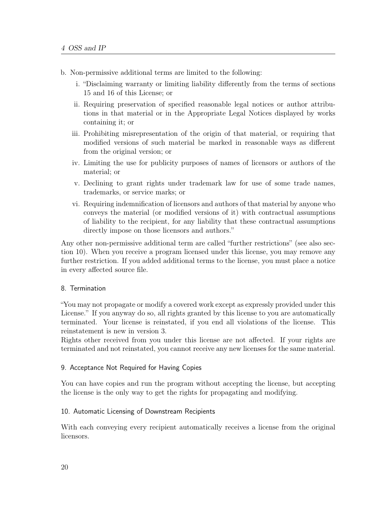- b. Non-permissive additional terms are limited to the following:
	- i. "Disclaiming warranty or limiting liability differently from the terms of sections 15 and 16 of this License; or
	- ii. Requiring preservation of specified reasonable legal notices or author attributions in that material or in the Appropriate Legal Notices displayed by works containing it; or
	- iii. Prohibiting misrepresentation of the origin of that material, or requiring that modified versions of such material be marked in reasonable ways as different from the original version; or
	- iv. Limiting the use for publicity purposes of names of licensors or authors of the material; or
	- v. Declining to grant rights under trademark law for use of some trade names, trademarks, or service marks; or
	- vi. Requiring indemnification of licensors and authors of that material by anyone who conveys the material (or modified versions of it) with contractual assumptions of liability to the recipient, for any liability that these contractual assumptions directly impose on those licensors and authors."

Any other non-permissive additional term are called "further restrictions" (see also section 10). When you receive a program licensed under this license, you may remove any further restriction. If you added additional terms to the license, you must place a notice in every affected source file.

#### 8. Termination

"You may not propagate or modify a covered work except as expressly provided under this License." If you anyway do so, all rights granted by this license to you are automatically terminated. Your license is reinstated, if you end all violations of the license. This reinstatement is new in version 3.

Rights other received from you under this license are not affected. If your rights are terminated and not reinstated, you cannot receive any new licenses for the same material.

#### 9. Acceptance Not Required for Having Copies

You can have copies and run the program without accepting the license, but accepting the license is the only way to get the rights for propagating and modifying.

#### 10. Automatic Licensing of Downstream Recipients

With each conveying every recipient automatically receives a license from the original licensors.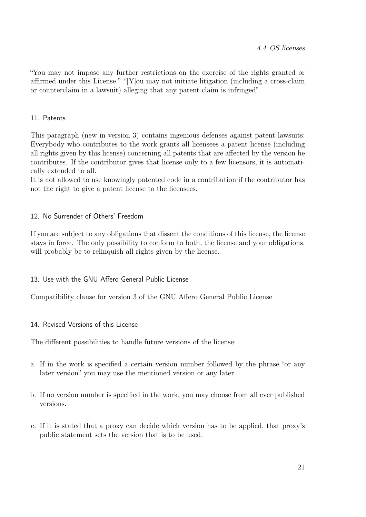"You may not impose any further restrictions on the exercise of the rights granted or affirmed under this License." "[Y]ou may not initiate litigation (including a cross-claim or counterclaim in a lawsuit) alleging that any patent claim is infringed".

### 11. Patents

This paragraph (new in version 3) contains ingenious defenses against patent lawsuits: Everybody who contributes to the work grants all licensees a patent license (including all rights given by this license) concerning all patents that are affected by the version he contributes. If the contributor gives that license only to a few licensors, it is automatically extended to all.

It is not allowed to use knowingly patented code in a contribution if the contributor has not the right to give a patent license to the licensees.

### 12. No Surrender of Others' Freedom

If you are subject to any obligations that dissent the conditions of this license, the license stays in force. The only possibility to conform to both, the license and your obligations, will probably be to relinquish all rights given by the license.

### 13. Use with the GNU Affero General Public License

Compatibility clause for version 3 of the GNU Affero General Public License

### 14. Revised Versions of this License

The different possibilities to handle future versions of the license:

- a. If in the work is specified a certain version number followed by the phrase "or any later version" you may use the mentioned version or any later.
- b. If no version number is specified in the work, you may choose from all ever published versions.
- c. If it is stated that a proxy can decide which version has to be applied, that proxy's public statement sets the version that is to be used.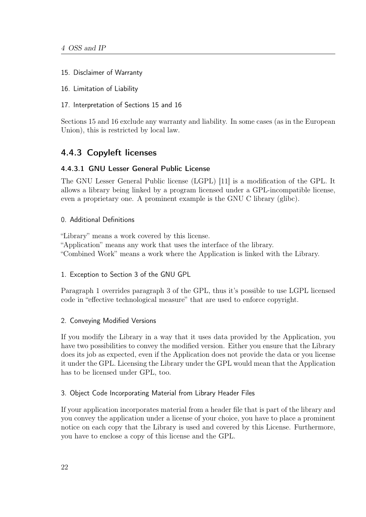- 15. Disclaimer of Warranty
- 16. Limitation of Liability
- 17. Interpretation of Sections 15 and 16

Sections 15 and 16 exclude any warranty and liability. In some cases (as in the European Union), this is restricted by local law.

### <span id="page-33-0"></span>4.4.3 Copyleft licenses

### <span id="page-33-1"></span>4.4.3.1 GNU Lesser General Public License

The GNU Lesser General Public license (LGPL) [\[11\]](#page-100-9) is a modification of the GPL. It allows a library being linked by a program licensed under a GPL-incompatible license, even a proprietary one. A prominent example is the GNU C library (glibc).

### 0. Additional Definitions

"Library" means a work covered by this license. "Application" means any work that uses the interface of the library. "Combined Work" means a work where the Application is linked with the Library.

### 1. Exception to Section 3 of the GNU GPL

Paragraph 1 overrides paragraph 3 of the GPL, thus it's possible to use LGPL licensed code in "effective technological measure" that are used to enforce copyright.

### 2. Conveying Modified Versions

If you modify the Library in a way that it uses data provided by the Application, you have two possibilities to convey the modified version. Either you ensure that the Library does its job as expected, even if the Application does not provide the data or you license it under the GPL. Licensing the Library under the GPL would mean that the Application has to be licensed under GPL, too.

### 3. Object Code Incorporating Material from Library Header Files

If your application incorporates material from a header file that is part of the library and you convey the application under a license of your choice, you have to place a prominent notice on each copy that the Library is used and covered by this License. Furthermore, you have to enclose a copy of this license and the GPL.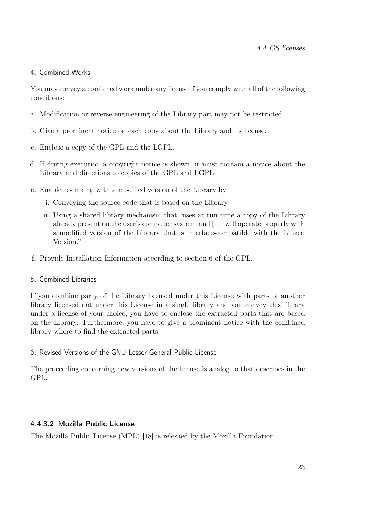### 4. Combined Works

You may convey a combined work under any license if you comply with all of the following conditions:

- a. Modification or reverse engineering of the Library part may not be restricted.
- b. Give a prominent notice on each copy about the Library and its license.
- c. Enclose a copy of the GPL and the LGPL.
- d. If during execution a copyright notice is shown, it must contain a notice about the Library and directions to copies of the GPL and LGPL.
- e. Enable re-linking with a modified version of the Library by
	- i. Conveying the source code that is based on the Library
	- ii. Using a shared library mechanism that "uses at run time a copy of the Library already present on the user's computer system, and [...] will operate properly with a modified version of the Library that is interface-compatible with the Linked Version<sup>"</sup>
- f. Provide Installation Information according to section 6 of the GPL.

### 5. Combined Libraries

If you combine party of the Library licensed under this License with parts of another library licensed not under this License in a single library and you convey this library under a license of your choice, you have to enclose the extracted parts that are based on the Library. Furthermore, you have to give a prominent notice with the combined library where to find the extracted parts.

### 6. Revised Versions of the GNU Lesser General Public License

The proceeding concerning new versions of the license is analog to that describes in the GPL.

### <span id="page-34-0"></span>4.4.3.2 Mozilla Public License

The Mozilla Public License (MPL) [\[18\]](#page-101-10) is relesaed by the Mozilla Foundation.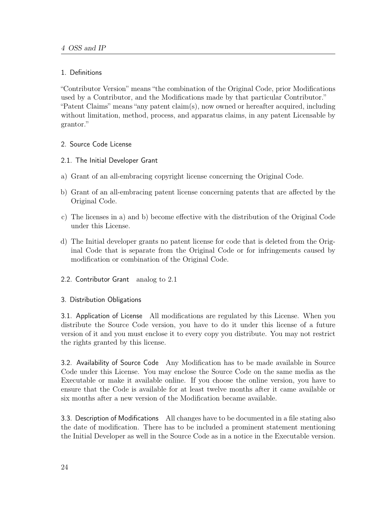### 1. Definitions

"Contributor Version" means "the combination of the Original Code, prior Modifications used by a Contributor, and the Modifications made by that particular Contributor." "Patent Claims" means "any patent claim(s), now owned or hereafter acquired, including without limitation, method, process, and apparatus claims, in any patent Licensable by grantor."

- 2. Source Code License
- 2.1. The Initial Developer Grant
- a) Grant of an all-embracing copyright license concerning the Original Code.
- b) Grant of an all-embracing patent license concerning patents that are affected by the Original Code.
- c) The licenses in a) and b) become effective with the distribution of the Original Code under this License.
- d) The Initial developer grants no patent license for code that is deleted from the Original Code that is separate from the Original Code or for infringements caused by modification or combination of the Original Code.
- 2.2. Contributor Grant analog to 2.1

### 3. Distribution Obligations

3.1. Application of License All modifications are regulated by this License. When you distribute the Source Code version, you have to do it under this license of a future version of it and you must enclose it to every copy you distribute. You may not restrict the rights granted by this license.

3.2. Availability of Source Code Any Modification has to be made available in Source Code under this License. You may enclose the Source Code on the same media as the Executable or make it available online. If you choose the online version, you have to ensure that the Code is available for at least twelve months after it came available or six months after a new version of the Modification became available.

3.3. Description of Modifications All changes have to be documented in a file stating also the date of modification. There has to be included a prominent statement mentioning the Initial Developer as well in the Source Code as in a notice in the Executable version.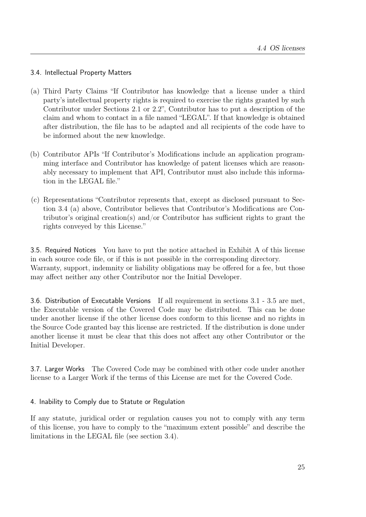## 3.4. Intellectual Property Matters

- (a) Third Party Claims "If Contributor has knowledge that a license under a third party's intellectual property rights is required to exercise the rights granted by such Contributor under Sections 2.1 or 2.2", Contributor has to put a description of the claim and whom to contact in a file named "LEGAL". If that knowledge is obtained after distribution, the file has to be adapted and all recipients of the code have to be informed about the new knowledge.
- (b) Contributor APIs "If Contributor's Modifications include an application programming interface and Contributor has knowledge of patent licenses which are reasonably necessary to implement that API, Contributor must also include this information in the LEGAL file."
- (c) Representations "Contributor represents that, except as disclosed pursuant to Section 3.4 (a) above, Contributor believes that Contributor's Modifications are Contributor's original creation(s) and/or Contributor has sufficient rights to grant the rights conveyed by this License."

3.5. Required Notices You have to put the notice attached in Exhibit A of this license in each source code file, or if this is not possible in the corresponding directory. Warranty, support, indemnity or liability obligations may be offered for a fee, but those may affect neither any other Contributor nor the Initial Developer.

3.6. Distribution of Executable Versions If all requirement in sections 3.1 - 3.5 are met, the Executable version of the Covered Code may be distributed. This can be done under another license if the other license does conform to this license and no rights in the Source Code granted bay this license are restricted. If the distribution is done under another license it must be clear that this does not affect any other Contributor or the Initial Developer.

3.7. Larger Works The Covered Code may be combined with other code under another license to a Larger Work if the terms of this License are met for the Covered Code.

## 4. Inability to Comply due to Statute or Regulation

If any statute, juridical order or regulation causes you not to comply with any term of this license, you have to comply to the "maximum extent possible" and describe the limitations in the LEGAL file (see section 3.4).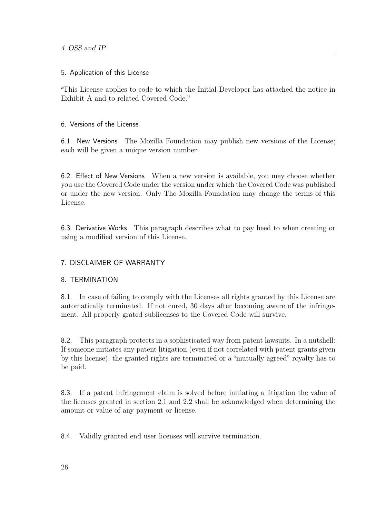## 5. Application of this License

"This License applies to code to which the Initial Developer has attached the notice in Exhibit A and to related Covered Code."

## 6. Versions of the License

6.1. New Versions The Mozilla Foundation may publish new versions of the License; each will be given a unique version number.

6.2. Effect of New Versions When a new version is available, you may choose whether you use the Covered Code under the version under which the Covered Code was published or under the new version. Only The Mozilla Foundation may change the terms of this License.

6.3. Derivative Works This paragraph describes what to pay heed to when creating or using a modified version of this License.

## 7. DISCLAIMER OF WARRANTY

## 8. TERMINATION

8.1. In case of failing to comply with the Licenses all rights granted by this License are automatically terminated. If not cured, 30 days after becoming aware of the infringement. All properly grated sublicenses to the Covered Code will survive.

8.2. This paragraph protects in a sophisticated way from patent lawsuits. In a nutshell: If someone initiates any patent litigation (even if not correlated with patent grants given by this license), the granted rights are terminated or a "mutually agreed" royalty has to be paid.

8.3. If a patent infringement claim is solved before initiating a litigation the value of the licenses granted in section 2.1 and 2.2 shall be acknowledged when determining the amount or value of any payment or license.

8.4. Validly granted end user licenses will survive termination.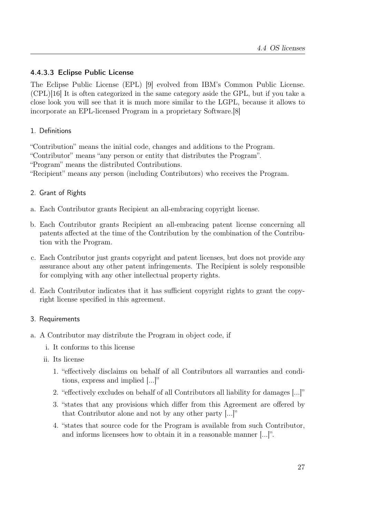## 4.4.3.3 Eclipse Public License

The Eclipse Public License (EPL) [\[9\]](#page-100-0) evolved from IBM's Common Public License. (CPL)[\[16\]](#page-101-0) It is often categorized in the same category aside the GPL, but if you take a close look you will see that it is much more similar to the LGPL, because it allows to incorporate an EPL-licensed Program in a proprietary Software.[\[8\]](#page-100-1)

## 1. Definitions

"Contribution" means the initial code, changes and additions to the Program. "Contributor" means "any person or entity that distributes the Program". "Program" means the distributed Contributions. "Recipient" means any person (including Contributors) who receives the Program.

## 2. Grant of Rights

- a. Each Contributor grants Recipient an all-embracing copyright license.
- b. Each Contributor grants Recipient an all-embracing patent license concerning all patents affected at the time of the Contribution by the combination of the Contribution with the Program.
- c. Each Contributor just grants copyright and patent licenses, but does not provide any assurance about any other patent infringements. The Recipient is solely responsible for complying with any other intellectual property rights.
- d. Each Contributor indicates that it has sufficient copyright rights to grant the copyright license specified in this agreement.

### 3. Requirements

- a. A Contributor may distribute the Program in object code, if
	- i. It conforms to this license
	- ii. Its license
		- 1. "effectively disclaims on behalf of all Contributors all warranties and conditions, express and implied [...]"
		- 2. "effectively excludes on behalf of all Contributors all liability for damages [...]"
		- 3. "states that any provisions which differ from this Agreement are offered by that Contributor alone and not by any other party [...]"
		- 4. "states that source code for the Program is available from such Contributor, and informs licensees how to obtain it in a reasonable manner [...]".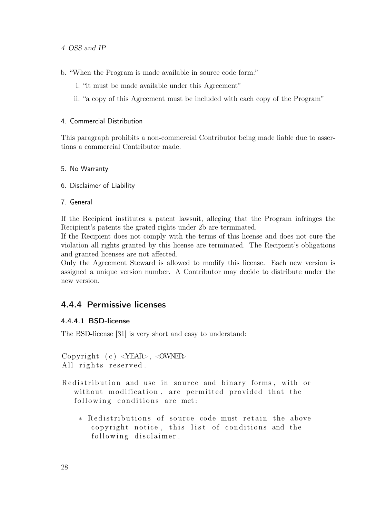- b. "When the Program is made available in source code form:"
	- i. "it must be made available under this Agreement"
	- ii. "a copy of this Agreement must be included with each copy of the Program"

#### 4. Commercial Distribution

This paragraph prohibits a non-commercial Contributor being made liable due to assertions a commercial Contributor made.

- 5. No Warranty
- 6. Disclaimer of Liability
- 7. General

If the Recipient institutes a patent lawsuit, alleging that the Program infringes the Recipient's patents the grated rights under 2b are terminated.

If the Recipient does not comply with the terms of this license and does not cure the violation all rights granted by this license are terminated. The Recipient's obligations and granted licenses are not affected.

Only the Agreement Steward is allowed to modify this license. Each new version is assigned a unique version number. A Contributor may decide to distribute under the new version.

## 4.4.4 Permissive licenses

### 4.4.4.1 BSD-license

The BSD-license [\[31\]](#page-102-0) is very short and easy to understand:

```
Copyright (c) \langleYEAR>, \langleOWNER>
All rights reserved.
```
- Redistribution and use in source and binary forms, with or without modification, are permitted provided that the following conditions are met:
	- \* Redistributions of source code must retain the above copyright notice, this list of conditions and the following disclaimer.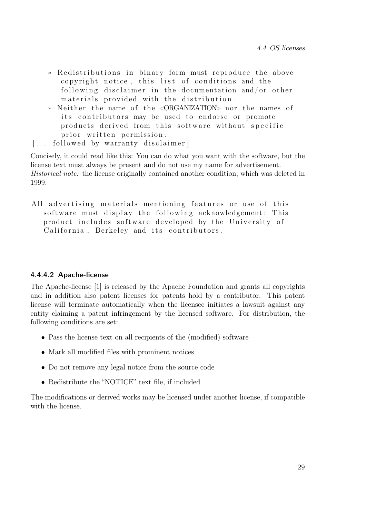- \* Redistributions in binary form must reproduce the above copyright notice, this list of conditions and the following disclaimer in the documentation and/or other materials provided with the distribution.
- ∗ N ei t h e r the name of the <ORGANIZATION> nor the names of its contributors may be used to endorse or promote products derived from this software without specific prior written permission.
- [... followed by warranty disclaimer]

Concisely, it could read like this: You can do what you want with the software, but the license text must always be present and do not use my name for advertisement. Historical note: the license originally contained another condition, which was deleted in 1999:

All advertising materials mentioning features or use of this s of tware must display the following acknowledgement: This product includes software developed by the University of California, Berkeley and its contributors.

#### 4.4.4.2 Apache-license

The Apache-license [\[1\]](#page-100-2) is released by the Apache Foundation and grants all copyrights and in addition also patent licenses for patents hold by a contributor. This patent license will terminate automatically when the licensee initiates a lawsuit against any entity claiming a patent infringement by the licensed software. For distribution, the following conditions are set:

- Pass the license text on all recipients of the (modified) software
- Mark all modified files with prominent notices
- Do not remove any legal notice from the source code
- Redistribute the "NOTICE" text file, if included

The modifications or derived works may be licensed under another license, if compatible with the license.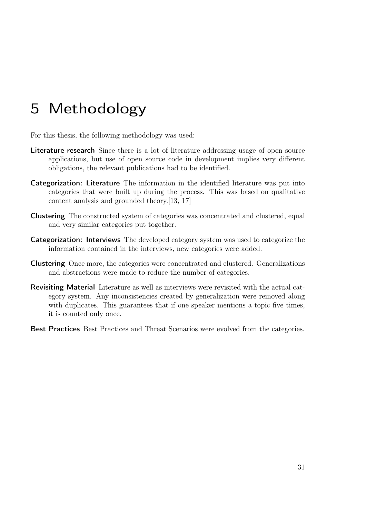# 5 Methodology

For this thesis, the following methodology was used:

- Literature research Since there is a lot of literature addressing usage of open source applications, but use of open source code in development implies very different obligations, the relevant publications had to be identified.
- Categorization: Literature The information in the identified literature was put into categories that were built up during the process. This was based on qualitative content analysis and grounded theory.[\[13,](#page-100-3) [17\]](#page-101-1)
- Clustering The constructed system of categories was concentrated and clustered, equal and very similar categories put together.
- Categorization: Interviews The developed category system was used to categorize the information contained in the interviews, new categories were added.
- Clustering Once more, the categories were concentrated and clustered. Generalizations and abstractions were made to reduce the number of categories.
- Revisiting Material Literature as well as interviews were revisited with the actual category system. Any inconsistencies created by generalization were removed along with duplicates. This guarantees that if one speaker mentions a topic five times, it is counted only once.
- Best Practices Best Practices and Threat Scenarios were evolved from the categories.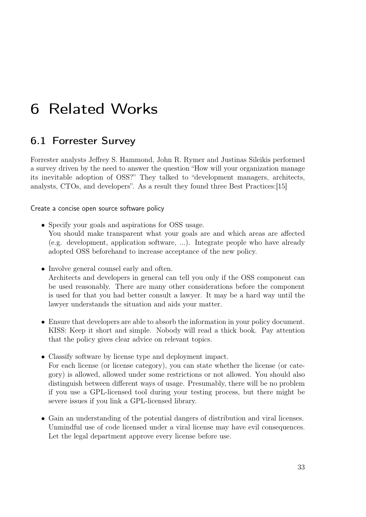# 6 Related Works

## 6.1 Forrester Survey

Forrester analysts Jeffrey S. Hammond, John R. Rymer and Justinas Sileikis performed a survey driven by the need to answer the question "How will your organization manage its inevitable adoption of OSS?" They talked to "development managers, architects, analysts, CTOs, and developers". As a result they found three Best Practices:[\[15\]](#page-101-2)

Create a concise open source software policy

- Specify your goals and aspirations for OSS usage. You should make transparent what your goals are and which areas are affected (e.g. development, application software, ...). Integrate people who have already adopted OSS beforehand to increase acceptance of the new policy.
- Involve general counsel early and often.

Architects and developers in general can tell you only if the OSS component can be used reasonably. There are many other considerations before the component is used for that you had better consult a lawyer. It may be a hard way until the lawyer understands the situation and aids your matter.

- Ensure that developers are able to absorb the information in your policy document. KISS: Keep it short and simple. Nobody will read a thick book. Pay attention that the policy gives clear advice on relevant topics.
- Classify software by license type and deployment impact. For each license (or license category), you can state whether the license (or category) is allowed, allowed under some restrictions or not allowed. You should also distinguish between different ways of usage. Presumably, there will be no problem if you use a GPL-licensed tool during your testing process, but there might be severe issues if you link a GPL-licensed library.
- Gain an understanding of the potential dangers of distribution and viral licenses. Unmindful use of code licensed under a viral license may have evil consequences. Let the legal department approve every license before use.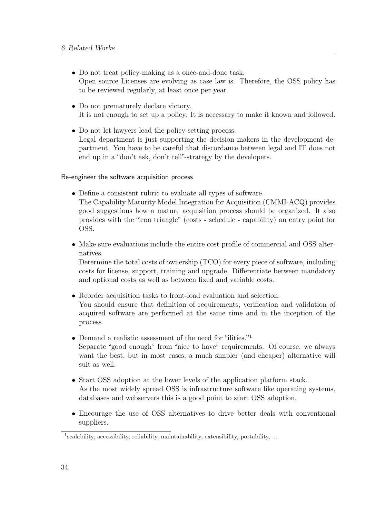- Do not treat policy-making as a once-and-done task. Open source Licenses are evolving as case law is. Therefore, the OSS policy has to be reviewed regularly, at least once per year.
- Do not prematurely declare victory. It is not enough to set up a policy. It is necessary to make it known and followed.
- Do not let lawyers lead the policy-setting process. Legal department is just supporting the decision makers in the development department. You have to be careful that discordance between legal and IT does not end up in a "don't ask, don't tell"-strategy by the developers.

#### Re-engineer the software acquisition process

- Define a consistent rubric to evaluate all types of software.
	- The Capability Maturity Model Integration for Acquisition (CMMI-ACQ) provides good suggestions how a mature acquisition process should be organized. It also provides with the "iron triangle" (costs - schedule - capability) an entry point for OSS.
- Make sure evaluations include the entire cost profile of commercial and OSS alternatives.

Determine the total costs of ownership (TCO) for every piece of software, including costs for license, support, training and upgrade. Differentiate between mandatory and optional costs as well as between fixed and variable costs.

- Reorder acquisition tasks to front-load evaluation and selection. You should ensure that definition of requirements, verification and validation of acquired software are performed at the same time and in the inception of the process.
- Demand a realistic assessment of the need for "ilities."<sup>[1](#page-45-0)</sup> Separate "good enough" from "nice to have" requirements. Of course, we always want the best, but in most cases, a much simpler (and cheaper) alternative will suit as well.
- Start OSS adoption at the lower levels of the application platform stack. As the most widely spread OSS is infrastructure software like operating systems, databases and webservers this is a good point to start OSS adoption.
- Encourage the use of OSS alternatives to drive better deals with conventional suppliers.

<span id="page-45-0"></span><sup>&</sup>lt;sup>1</sup>scalability, accessibility, reliability, maintainability, extensibility, portability, ...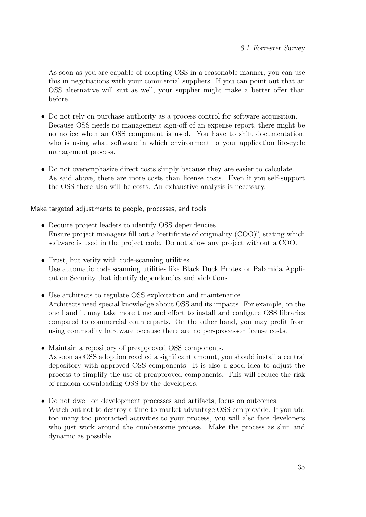As soon as you are capable of adopting OSS in a reasonable manner, you can use this in negotiations with your commercial suppliers. If you can point out that an OSS alternative will suit as well, your supplier might make a better offer than before.

- Do not rely on purchase authority as a process control for software acquisition. Because OSS needs no management sign-off of an expense report, there might be no notice when an OSS component is used. You have to shift documentation, who is using what software in which environment to your application life-cycle management process.
- Do not overemphasize direct costs simply because they are easier to calculate. As said above, there are more costs than license costs. Even if you self-support the OSS there also will be costs. An exhaustive analysis is necessary.

### Make targeted adjustments to people, processes, and tools

- Require project leaders to identify OSS dependencies. Ensure project managers fill out a "certificate of originality (COO)", stating which software is used in the project code. Do not allow any project without a COO.
- Trust, but verify with code-scanning utilities. Use automatic code scanning utilities like Black Duck Protex or Palamida Application Security that identify dependencies and violations.
- Use architects to regulate OSS exploitation and maintenance. Architects need special knowledge about OSS and its impacts. For example, on the one hand it may take more time and effort to install and configure OSS libraries compared to commercial counterparts. On the other hand, you may profit from using commodity hardware because there are no per-processor license costs.
- Maintain a repository of preapproved OSS components. As soon as OSS adoption reached a significant amount, you should install a central depository with approved OSS components. It is also a good idea to adjust the process to simplify the use of preapproved components. This will reduce the risk of random downloading OSS by the developers.
- Do not dwell on development processes and artifacts; focus on outcomes. Watch out not to destroy a time-to-market advantage OSS can provide. If you add too many too protracted activities to your process, you will also face developers who just work around the cumbersome process. Make the process as slim and dynamic as possible.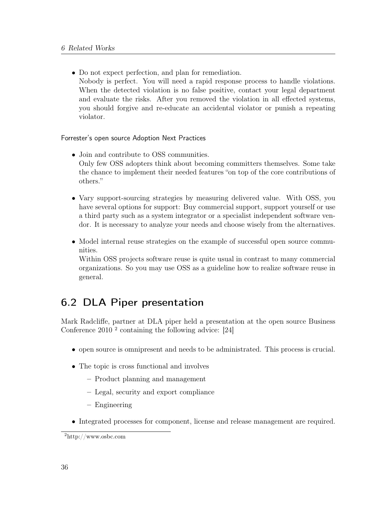• Do not expect perfection, and plan for remediation. Nobody is perfect. You will need a rapid response process to handle violations. When the detected violation is no false positive, contact your legal department and evaluate the risks. After you removed the violation in all effected systems, you should forgive and re-educate an accidental violator or punish a repeating violator.

### Forrester's open source Adoption Next Practices

- Join and contribute to OSS communities. Only few OSS adopters think about becoming committers themselves. Some take the chance to implement their needed features "on top of the core contributions of others."
- Vary support-sourcing strategies by measuring delivered value. With OSS, you have several options for support: Buy commercial support, support yourself or use a third party such as a system integrator or a specialist independent software vendor. It is necessary to analyze your needs and choose wisely from the alternatives.
- Model internal reuse strategies on the example of successful open source communities.

Within OSS projects software reuse is quite usual in contrast to many commercial organizations. So you may use OSS as a guideline how to realize software reuse in general.

# 6.2 DLA Piper presentation

Mark Radcliffe, partner at DLA piper held a presentation at the open source Business Conference 2010 [2](#page-47-0) containing the following advice: [\[24\]](#page-101-3)

- open source is omnipresent and needs to be administrated. This process is crucial.
- The topic is cross functional and involves
	- Product planning and management
	- Legal, security and export compliance
	- Engineering
- Integrated processes for component, license and release management are required.

<span id="page-47-0"></span><sup>2</sup>http://www.osbc.com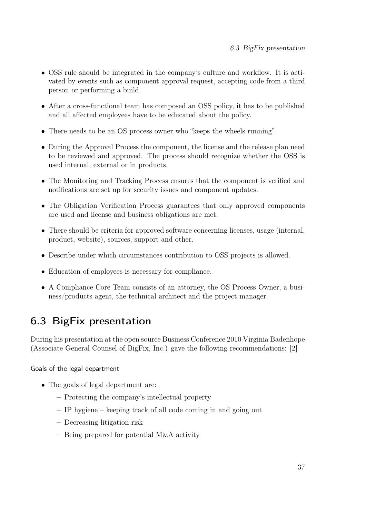- OSS rule should be integrated in the company's culture and workflow. It is activated by events such as component approval request, accepting code from a third person or performing a build.
- After a cross-functional team has composed an OSS policy, it has to be published and all affected employees have to be educated about the policy.
- There needs to be an OS process owner who "keeps the wheels running".
- During the Approval Process the component, the license and the release plan need to be reviewed and approved. The process should recognize whether the OSS is used internal, external or in products.
- The Monitoring and Tracking Process ensures that the component is verified and notifications are set up for security issues and component updates.
- The Obligation Verification Process guarantees that only approved components are used and license and business obligations are met.
- There should be criteria for approved software concerning licenses, usage (internal, product, website), sources, support and other.
- Describe under which circumstances contribution to OSS projects is allowed.
- Education of employees is necessary for compliance.
- A Compliance Core Team consists of an attorney, the OS Process Owner, a business/products agent, the technical architect and the project manager.

# 6.3 BigFix presentation

During his presentation at the open source Business Conference 2010 Virginia Badenhope (Associate General Counsel of BigFix, Inc.) gave the following recommendations: [\[2\]](#page-100-4)

## Goals of the legal department

- The goals of legal department are:
	- Protecting the company's intellectual property
	- IP hygiene keeping track of all code coming in and going out
	- Decreasing litigation risk
	- Being prepared for potential M&A activity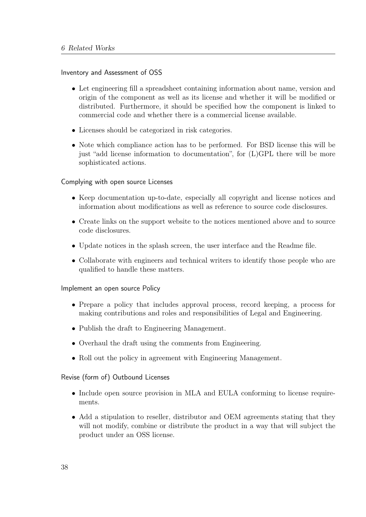### Inventory and Assessment of OSS

- Let engineering fill a spreadsheet containing information about name, version and origin of the component as well as its license and whether it will be modified or distributed. Furthermore, it should be specified how the component is linked to commercial code and whether there is a commercial license available.
- Licenses should be categorized in risk categories.
- Note which compliance action has to be performed. For BSD license this will be just "add license information to documentation", for (L)GPL there will be more sophisticated actions.

### Complying with open source Licenses

- Keep documentation up-to-date, especially all copyright and license notices and information about modifications as well as reference to source code disclosures.
- Create links on the support website to the notices mentioned above and to source code disclosures.
- Update notices in the splash screen, the user interface and the Readme file.
- Collaborate with engineers and technical writers to identify those people who are qualified to handle these matters.

### Implement an open source Policy

- Prepare a policy that includes approval process, record keeping, a process for making contributions and roles and responsibilities of Legal and Engineering.
- Publish the draft to Engineering Management.
- Overhaul the draft using the comments from Engineering.
- Roll out the policy in agreement with Engineering Management.

### Revise (form of) Outbound Licenses

- Include open source provision in MLA and EULA conforming to license requirements.
- Add a stipulation to reseller, distributor and OEM agreements stating that they will not modify, combine or distribute the product in a way that will subject the product under an OSS license.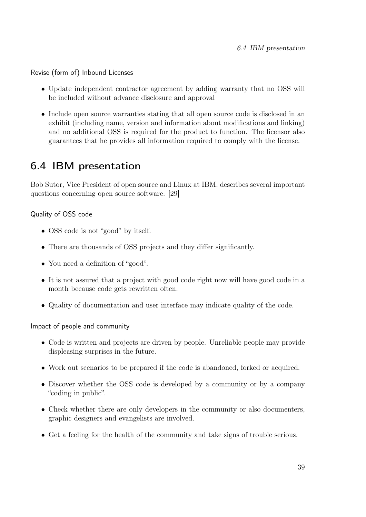Revise (form of) Inbound Licenses

- Update independent contractor agreement by adding warranty that no OSS will be included without advance disclosure and approval
- Include open source warranties stating that all open source code is disclosed in an exhibit (including name, version and information about modifications and linking) and no additional OSS is required for the product to function. The licensor also guarantees that he provides all information required to comply with the license.

# 6.4 IBM presentation

Bob Sutor, Vice President of open source and Linux at IBM, describes several important questions concerning open source software: [\[29\]](#page-102-1)

Quality of OSS code

- OSS code is not "good" by itself.
- There are thousands of OSS projects and they differ significantly.
- You need a definition of "good".
- It is not assured that a project with good code right now will have good code in a month because code gets rewritten often.
- Quality of documentation and user interface may indicate quality of the code.

Impact of people and community

- Code is written and projects are driven by people. Unreliable people may provide displeasing surprises in the future.
- Work out scenarios to be prepared if the code is abandoned, forked or acquired.
- Discover whether the OSS code is developed by a community or by a company "coding in public".
- Check whether there are only developers in the community or also documenters, graphic designers and evangelists are involved.
- Get a feeling for the health of the community and take signs of trouble serious.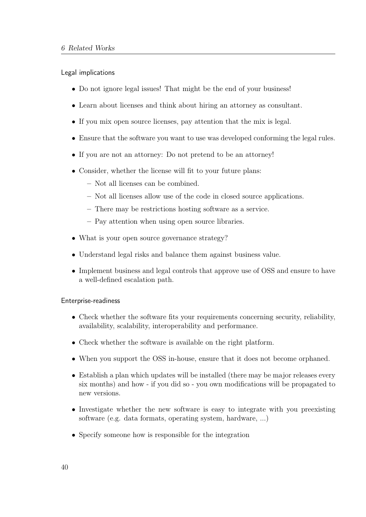Legal implications

- Do not ignore legal issues! That might be the end of your business!
- Learn about licenses and think about hiring an attorney as consultant.
- If you mix open source licenses, pay attention that the mix is legal.
- Ensure that the software you want to use was developed conforming the legal rules.
- If you are not an attorney: Do not pretend to be an attorney!
- Consider, whether the license will fit to your future plans:
	- Not all licenses can be combined.
	- Not all licenses allow use of the code in closed source applications.
	- There may be restrictions hosting software as a service.
	- Pay attention when using open source libraries.
- What is your open source governance strategy?
- Understand legal risks and balance them against business value.
- Implement business and legal controls that approve use of OSS and ensure to have a well-defined escalation path.

### Enterprise-readiness

- Check whether the software fits your requirements concerning security, reliability, availability, scalability, interoperability and performance.
- Check whether the software is available on the right platform.
- When you support the OSS in-house, ensure that it does not become orphaned.
- Establish a plan which updates will be installed (there may be major releases every six months) and how - if you did so - you own modifications will be propagated to new versions.
- Investigate whether the new software is easy to integrate with you preexisting software (e.g. data formats, operating system, hardware, ...)
- Specify someone how is responsible for the integration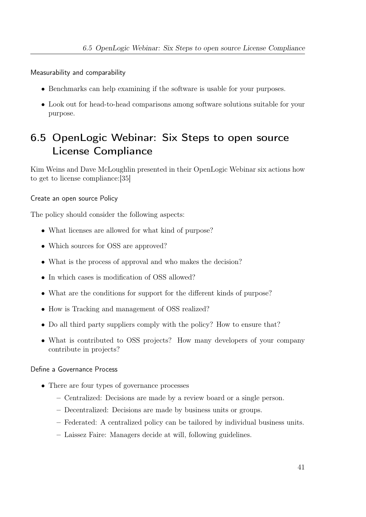Measurability and comparability

- Benchmarks can help examining if the software is usable for your purposes.
- Look out for head-to-head comparisons among software solutions suitable for your purpose.

# 6.5 OpenLogic Webinar: Six Steps to open source License Compliance

Kim Weins and Dave McLoughlin presented in their OpenLogic Webinar six actions how to get to license compliance:[\[35\]](#page-102-2)

### Create an open source Policy

The policy should consider the following aspects:

- What licenses are allowed for what kind of purpose?
- Which sources for OSS are approved?
- What is the process of approval and who makes the decision?
- In which cases is modification of OSS allowed?
- What are the conditions for support for the different kinds of purpose?
- How is Tracking and management of OSS realized?
- Do all third party suppliers comply with the policy? How to ensure that?
- What is contributed to OSS projects? How many developers of your company contribute in projects?

### Define a Governance Process

- There are four types of governance processes
	- Centralized: Decisions are made by a review board or a single person.
	- Decentralized: Decisions are made by business units or groups.
	- Federated: A centralized policy can be tailored by individual business units.
	- Laissez Faire: Managers decide at will, following guidelines.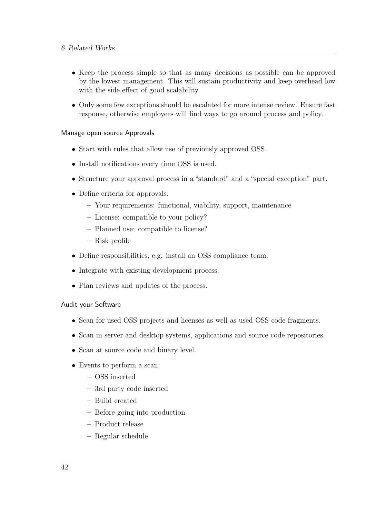- Keep the process simple so that as many decisions as possible can be approved by the lowest management. This will sustain productivity and keep overhead low with the side effect of good scalability.
- Only some few exceptions should be escalated for more intense review. Ensure fast response, otherwise employees will find ways to go around process and policy.

#### Manage open source Approvals

- Start with rules that allow use of previously approved OSS.
- Install notifications every time OSS is used.
- Structure your approval process in a "standard" and a "special exception" part.
- Define criteria for approvals.
	- Your requirements: functional, viability, support, maintenance
	- License: compatible to your policy?
	- Planned use: compatible to license?
	- Risk profile
- Define responsibilities, e.g. install an OSS compliance team.
- Integrate with existing development process.
- Plan reviews and updates of the process.

### Audit your Software

- Scan for used OSS projects and licenses as well as used OSS code fragments.
- Scan in server and desktop systems, applications and source code repositories.
- Scan at source code and binary level.
- Events to perform a scan:
	- OSS inserted
	- 3rd party code inserted
	- Build created
	- Before going into production
	- Product release
	- Regular schedule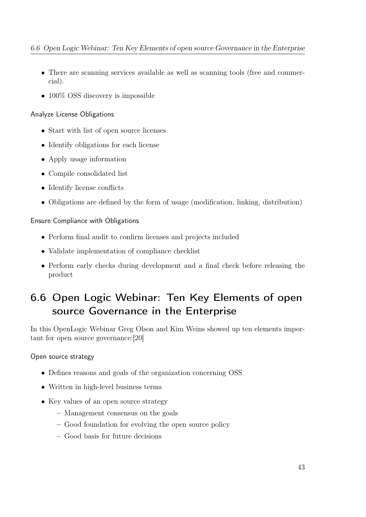- There are scanning services available as well as scanning tools (free and commercial).
- 100% OSS discovery is impossible

## Analyze License Obligations

- Start with list of open source licenses
- Identify obligations for each license
- Apply usage information
- Compile consolidated list
- Identify license conflicts
- Obligations are defined by the form of usage (modification, linking, distribution)

## Ensure Compliance with Obligations

- Perform final audit to confirm licenses and projects included
- Validate implementation of compliance checklist
- Perform early checks during development and a final check before releasing the product

# 6.6 Open Logic Webinar: Ten Key Elements of open source Governance in the Enterprise

In this OpenLogic Webinar Greg Olson and Kim Weins showed up ten elements important for open source governance:[\[20\]](#page-101-4)

## Open source strategy

- Defines reasons and goals of the organization concerning OSS
- Written in high-level business terms
- Key values of an open source strategy
	- Management consensus on the goals
	- Good foundation for evolving the open source policy
	- Good basis for future decisions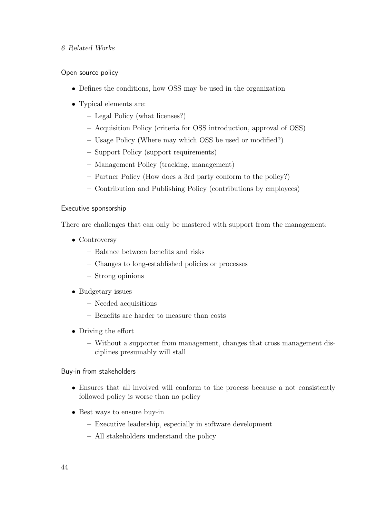Open source policy

- Defines the conditions, how OSS may be used in the organization
- Typical elements are:
	- Legal Policy (what licenses?)
	- Acquisition Policy (criteria for OSS introduction, approval of OSS)
	- Usage Policy (Where may which OSS be used or modified?)
	- Support Policy (support requirements)
	- Management Policy (tracking, management)
	- Partner Policy (How does a 3rd party conform to the policy?)
	- Contribution and Publishing Policy (contributions by employees)

#### Executive sponsorship

There are challenges that can only be mastered with support from the management:

- Controversy
	- Balance between benefits and risks
	- Changes to long-established policies or processes
	- Strong opinions
- Budgetary issues
	- Needed acquisitions
	- Benefits are harder to measure than costs
- Driving the effort
	- Without a supporter from management, changes that cross management disciplines presumably will stall

### Buy-in from stakeholders

- Ensures that all involved will conform to the process because a not consistently followed policy is worse than no policy
- Best ways to ensure buy-in
	- Executive leadership, especially in software development
	- All stakeholders understand the policy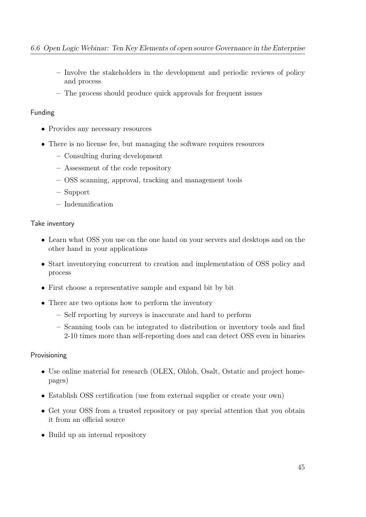- Involve the stakeholders in the development and periodic reviews of policy and process
- The process should produce quick approvals for frequent issues

## Funding

- Provides any necessary resources
- There is no license fee, but managing the software requires resources
	- Consulting during development
	- Assessment of the code repository
	- OSS scanning, approval, tracking and management tools
	- Support
	- Indemnification

## Take inventory

- Learn what OSS you use on the one hand on your servers and desktops and on the other hand in your applications
- Start inventorying concurrent to creation and implementation of OSS policy and process
- First choose a representative sample and expand bit by bit
- There are two options how to perform the inventory
	- Self reporting by surveys is inaccurate and hard to perform
	- Scanning tools can be integrated to distribution or inventory tools and find 2-10 times more than self-reporting does and can detect OSS even in binaries

## Provisioning

- Use online material for research (OLEX, Ohloh, Osalt, Ostatic and project homepages)
- Establish OSS certification (use from external supplier or create your own)
- Get your OSS from a trusted repository or pay special attention that you obtain it from an official source
- Build up an internal repository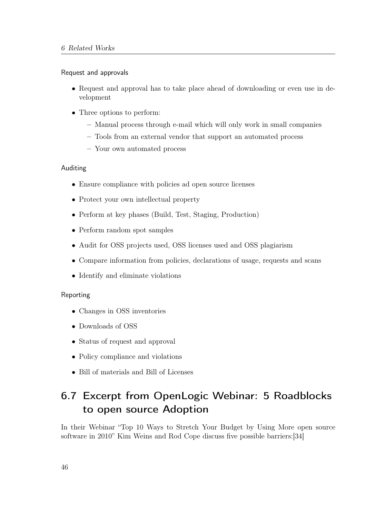#### Request and approvals

- Request and approval has to take place ahead of downloading or even use in development
- Three options to perform:
	- Manual process through e-mail which will only work in small companies
	- Tools from an external vendor that support an automated process
	- Your own automated process

#### Auditing

- Ensure compliance with policies ad open source licenses
- Protect your own intellectual property
- Perform at key phases (Build, Test, Staging, Production)
- Perform random spot samples
- Audit for OSS projects used, OSS licenses used and OSS plagiarism
- Compare information from policies, declarations of usage, requests and scans
- Identify and eliminate violations

### Reporting

- Changes in OSS inventories
- Downloads of OSS
- Status of request and approval
- Policy compliance and violations
- Bill of materials and Bill of Licenses

# 6.7 Excerpt from OpenLogic Webinar: 5 Roadblocks to open source Adoption

In their Webinar "Top 10 Ways to Stretch Your Budget by Using More open source software in 2010" Kim Weins and Rod Cope discuss five possible barriers:[\[34\]](#page-102-3)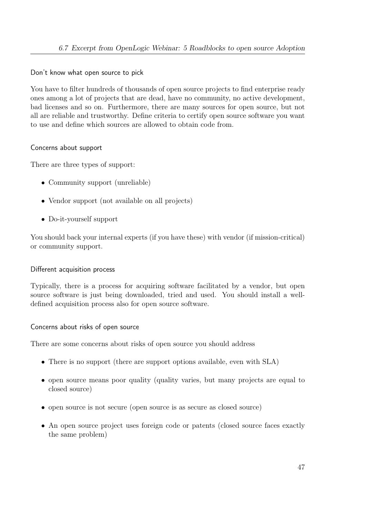Don't know what open source to pick

You have to filter hundreds of thousands of open source projects to find enterprise ready ones among a lot of projects that are dead, have no community, no active development, bad licenses and so on. Furthermore, there are many sources for open source, but not all are reliable and trustworthy. Define criteria to certify open source software you want to use and define which sources are allowed to obtain code from.

## Concerns about support

There are three types of support:

- Community support (unreliable)
- Vendor support (not available on all projects)
- Do-it-yourself support

You should back your internal experts (if you have these) with vendor (if mission-critical) or community support.

### Different acquisition process

Typically, there is a process for acquiring software facilitated by a vendor, but open source software is just being downloaded, tried and used. You should install a welldefined acquisition process also for open source software.

### Concerns about risks of open source

There are some concerns about risks of open source you should address

- There is no support (there are support options available, even with SLA)
- open source means poor quality (quality varies, but many projects are equal to closed source)
- open source is not secure (open source is as secure as closed source)
- An open source project uses foreign code or patents (closed source faces exactly the same problem)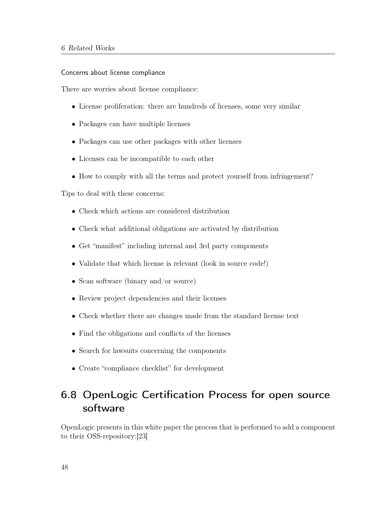#### Concerns about license compliance

There are worries about license compliance:

- License proliferation: there are hundreds of licenses, some very similar
- Packages can have multiple licenses
- Packages can use other packages with other licenses
- Licenses can be incompatible to each other
- How to comply with all the terms and protect yourself from infringement?

Tips to deal with these concerns:

- Check which actions are considered distribution
- Check what additional obligations are activated by distribution
- Get "manifest" including internal and 3rd party components
- Validate that which license is relevant (look in source code!)
- Scan software (binary and/or source)
- Review project dependencies and their licenses
- Check whether there are changes made from the standard license text
- Find the obligations and conflicts of the licenses
- Search for lawsuits concerning the components
- Create "compliance checklist" for development

# 6.8 OpenLogic Certification Process for open source software

OpenLogic presents in this white paper the process that is performed to add a component to their OSS-repository:[\[23\]](#page-101-5)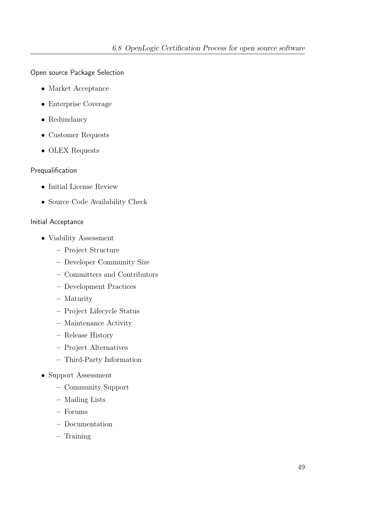Open source Package Selection

- Market Acceptance
- Enterprise Coverage
- Redundancy
- Customer Requests
- OLEX Requests

## Prequalification

- Initial License Review
- Source Code Availability Check

## Initial Acceptance

- Viability Assessment
	- Project Structure
	- Developer Community Size
	- Committers and Contributors
	- Development Practices
	- Maturity
	- Project Lifecycle Status
	- Maintenance Activity
	- Release History
	- Project Alternatives
	- Third-Party Information
- Support Assessment
	- Community Support
	- Mailing Lists
	- Forums
	- Documentation
	- Training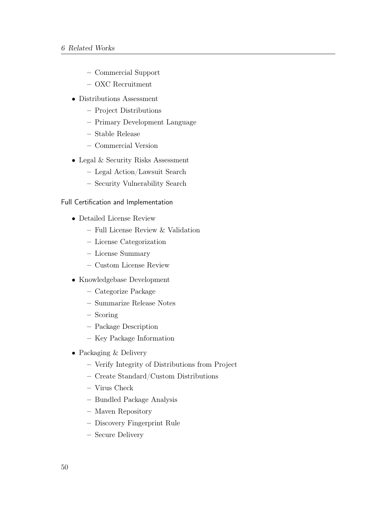- Commercial Support
- OXC Recruitment
- Distributions Assessment
	- Project Distributions
	- Primary Development Language
	- Stable Release
	- Commercial Version
- Legal & Security Risks Assessment
	- Legal Action/Lawsuit Search
	- Security Vulnerability Search

#### Full Certification and Implementation

- Detailed License Review
	- Full License Review & Validation
	- License Categorization
	- License Summary
	- Custom License Review
- Knowledgebase Development
	- Categorize Package
	- Summarize Release Notes
	- Scoring
	- Package Description
	- Key Package Information
- Packaging & Delivery
	- Verify Integrity of Distributions from Project
	- Create Standard/Custom Distributions
	- Virus Check
	- Bundled Package Analysis
	- Maven Repository
	- Discovery Fingerprint Rule
	- Secure Delivery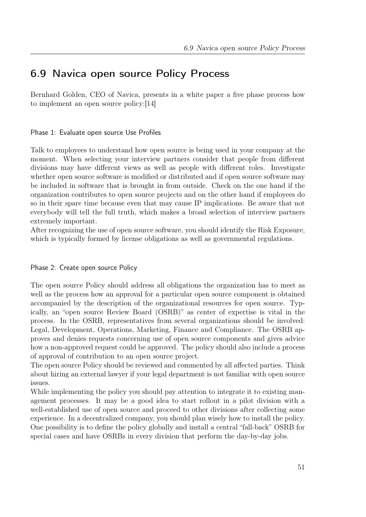## 6.9 Navica open source Policy Process

Bernhard Golden, CEO of Navica, presents in a white paper a five phase process how to implement an open source policy:[\[14\]](#page-101-6)

#### Phase 1: Evaluate open source Use Profiles

Talk to employees to understand how open source is being used in your company at the moment. When selecting your interview partners consider that people from different divisions may have different views as well as people with different roles. Investigate whether open source software is modified or distributed and if open source software may be included in software that is brought in from outside. Check on the one hand if the organization contributes to open source projects and on the other hand if employees do so in their spare time because even that may cause IP implications. Be aware that not everybody will tell the full truth, which makes a broad selection of interview partners extremely important.

After recognizing the use of open source software, you should identify the Risk Exposure, which is typically formed by license obligations as well as governmental regulations.

#### Phase 2: Create open source Policy

The open source Policy should address all obligations the organization has to meet as well as the process how an approval for a particular open source component is obtained accompanied by the description of the organizational resources for open source. Typically, an "open source Review Board (OSRB)" as center of expertise is vital in the process. In the OSRB, representatives from several organizations should be involved: Legal, Development, Operations, Marketing, Finance and Compliance. The OSRB approves and denies requests concerning use of open source components and gives advice how a non-approved request could be approved. The policy should also include a process of approval of contribution to an open source project.

The open source Policy should be reviewed and commented by all affected parties. Think about hiring an external lawyer if your legal department is not familiar with open source issues.

While implementing the policy you should pay attention to integrate it to existing management processes. It may be a good idea to start rollout in a pilot division with a well-established use of open source and proceed to other divisions after collecting some experience. In a decentralized company, you should plan wisely how to install the policy. One possibility is to define the policy globally and install a central "fall-back" OSRB for special cases and have OSRBs in every division that perform the day-by-day jobs.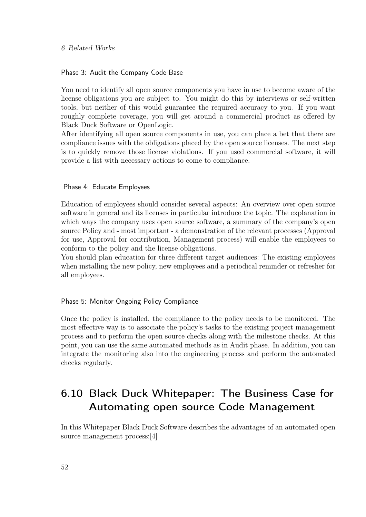#### Phase 3: Audit the Company Code Base

You need to identify all open source components you have in use to become aware of the license obligations you are subject to. You might do this by interviews or self-written tools, but neither of this would guarantee the required accuracy to you. If you want roughly complete coverage, you will get around a commercial product as offered by Black Duck Software or OpenLogic.

After identifying all open source components in use, you can place a bet that there are compliance issues with the obligations placed by the open source licenses. The next step is to quickly remove those license violations. If you used commercial software, it will provide a list with necessary actions to come to compliance.

#### Phase 4: Educate Employees

Education of employees should consider several aspects: An overview over open source software in general and its licenses in particular introduce the topic. The explanation in which ways the company uses open source software, a summary of the company's open source Policy and - most important - a demonstration of the relevant processes (Approval for use, Approval for contribution, Management process) will enable the employees to conform to the policy and the license obligations.

You should plan education for three different target audiences: The existing employees when installing the new policy, new employees and a periodical reminder or refresher for all employees.

#### Phase 5: Monitor Ongoing Policy Compliance

Once the policy is installed, the compliance to the policy needs to be monitored. The most effective way is to associate the policy's tasks to the existing project management process and to perform the open source checks along with the milestone checks. At this point, you can use the same automated methods as in Audit phase. In addition, you can integrate the monitoring also into the engineering process and perform the automated checks regularly.

# 6.10 Black Duck Whitepaper: The Business Case for Automating open source Code Management

In this Whitepaper Black Duck Software describes the advantages of an automated open source management process:[\[4\]](#page-100-5)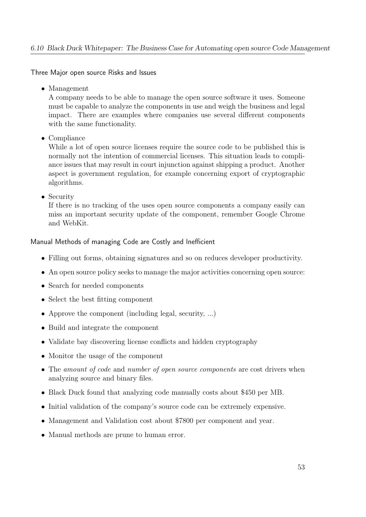Three Major open source Risks and Issues

• Management

A company needs to be able to manage the open source software it uses. Someone must be capable to analyze the components in use and weigh the business and legal impact. There are examples where companies use several different components with the same functionality.

• Compliance

While a lot of open source licenses require the source code to be published this is normally not the intention of commercial licenses. This situation leads to compliance issues that may result in court injunction against shipping a product. Another aspect is government regulation, for example concerning export of cryptographic algorithms.

• Security

If there is no tracking of the uses open source components a company easily can miss an important security update of the component, remember Google Chrome and WebKit.

## Manual Methods of managing Code are Costly and Inefficient

- Filling out forms, obtaining signatures and so on reduces developer productivity.
- An open source policy seeks to manage the major activities concerning open source:
- Search for needed components
- Select the best fitting component
- Approve the component (including legal, security, ...)
- Build and integrate the component
- Validate bay discovering license conflicts and hidden cryptography
- Monitor the usage of the component
- The amount of code and number of open source components are cost drivers when analyzing source and binary files.
- Black Duck found that analyzing code manually costs about \$450 per MB.
- Initial validation of the company's source code can be extremely expensive.
- Management and Validation cost about \$7800 per component and year.
- Manual methods are prune to human error.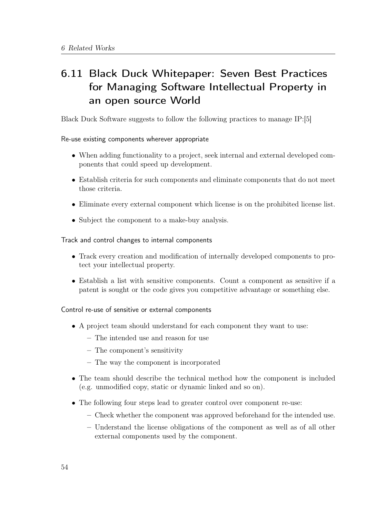# 6.11 Black Duck Whitepaper: Seven Best Practices for Managing Software Intellectual Property in an open source World

Black Duck Software suggests to follow the following practices to manage IP:[\[5\]](#page-100-6)

## Re-use existing components wherever appropriate

- When adding functionality to a project, seek internal and external developed components that could speed up development.
- Establish criteria for such components and eliminate components that do not meet those criteria.
- Eliminate every external component which license is on the prohibited license list.
- Subject the component to a make-buy analysis.

## Track and control changes to internal components

- Track every creation and modification of internally developed components to protect your intellectual property.
- Establish a list with sensitive components. Count a component as sensitive if a patent is sought or the code gives you competitive advantage or something else.

## Control re-use of sensitive or external components

- A project team should understand for each component they want to use:
	- The intended use and reason for use
	- The component's sensitivity
	- The way the component is incorporated
- The team should describe the technical method how the component is included (e.g. unmodified copy, static or dynamic linked and so on).
- The following four steps lead to greater control over component re-use:
	- Check whether the component was approved beforehand for the intended use.
	- Understand the license obligations of the component as well as of all other external components used by the component.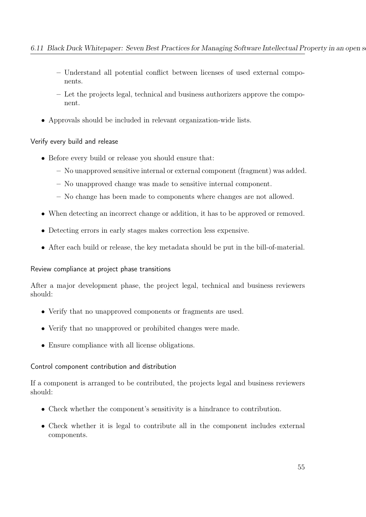- Understand all potential conflict between licenses of used external components.
- Let the projects legal, technical and business authorizers approve the component.
- Approvals should be included in relevant organization-wide lists.

## Verify every build and release

- Before every build or release you should ensure that:
	- No unapproved sensitive internal or external component (fragment) was added.
	- No unapproved change was made to sensitive internal component.
	- No change has been made to components where changes are not allowed.
- When detecting an incorrect change or addition, it has to be approved or removed.
- Detecting errors in early stages makes correction less expensive.
- After each build or release, the key metadata should be put in the bill-of-material.

## Review compliance at project phase transitions

After a major development phase, the project legal, technical and business reviewers should:

- Verify that no unapproved components or fragments are used.
- Verify that no unapproved or prohibited changes were made.
- Ensure compliance with all license obligations.

## Control component contribution and distribution

If a component is arranged to be contributed, the projects legal and business reviewers should:

- Check whether the component's sensitivity is a hindrance to contribution.
- Check whether it is legal to contribute all in the component includes external components.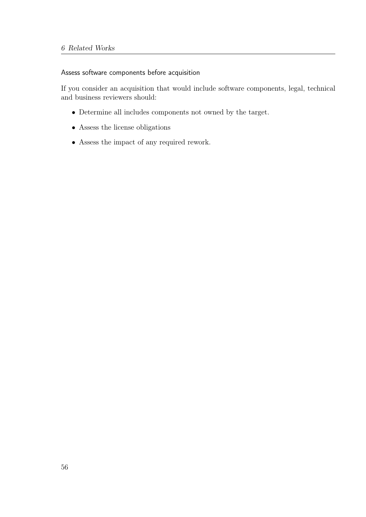Assess software components before acquisition

If you consider an acquisition that would include software components, legal, technical and business reviewers should:

- Determine all includes components not owned by the target.
- Assess the license obligations
- Assess the impact of any required rework.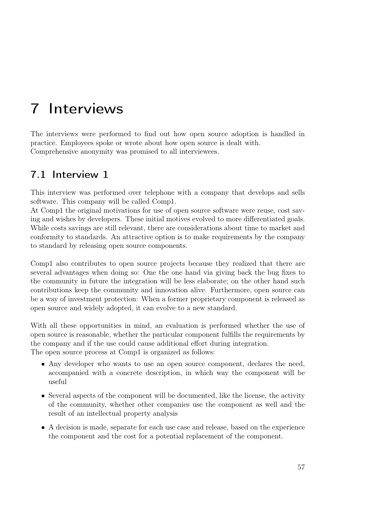# 7 Interviews

The interviews were performed to find out how open source adoption is handled in practice. Employees spoke or wrote about how open source is dealt with. Comprehensive anonymity was promised to all interviewees.

# 7.1 Interview 1

This interview was performed over telephone with a company that develops and sells software. This company will be called Comp1.

At Comp1 the original motivations for use of open source software were reuse, cost saving and wishes by developers. These initial motives evolved to more differentiated goals. While costs savings are still relevant, there are considerations about time to market and conformity to standards. An attractive option is to make requirements by the company to standard by releasing open source components.

Comp1 also contributes to open source projects because they realized that there are several advantages when doing so: One the one hand via giving back the bug fixes to the community in future the integration will be less elaborate; on the other hand such contributions keep the community and innovation alive. Furthermore, open source can be a way of investment protection: When a former proprietary component is released as open source and widely adopted, it can evolve to a new standard.

With all these opportunities in mind, an evaluation is performed whether the use of open source is reasonable, whether the particular component fulfills the requirements by the company and if the use could cause additional effort during integration. The open source process at Comp1 is organized as follows:

- Any developer who wants to use an open source component, declares the need, accompanied with a concrete description, in which way the component will be useful
- Several aspects of the component will be documented, like the license, the activity of the community, whether other companies use the component as well and the result of an intellectual property analysis
- A decision is made, separate for each use case and release, based on the experience the component and the cost for a potential replacement of the component.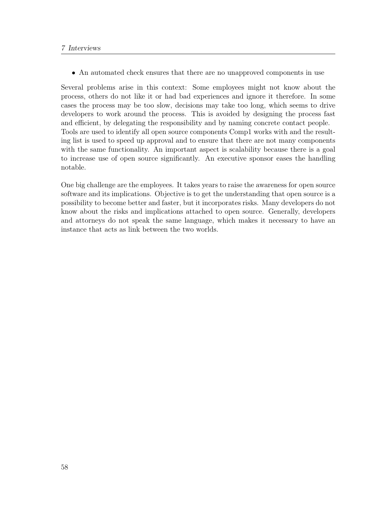• An automated check ensures that there are no unapproved components in use

Several problems arise in this context: Some employees might not know about the process, others do not like it or had bad experiences and ignore it therefore. In some cases the process may be too slow, decisions may take too long, which seems to drive developers to work around the process. This is avoided by designing the process fast and efficient, by delegating the responsibility and by naming concrete contact people. Tools are used to identify all open source components Comp1 works with and the resulting list is used to speed up approval and to ensure that there are not many components with the same functionality. An important aspect is scalability because there is a goal to increase use of open source significantly. An executive sponsor eases the handling notable.

One big challenge are the employees. It takes years to raise the awareness for open source software and its implications. Objective is to get the understanding that open source is a possibility to become better and faster, but it incorporates risks. Many developers do not know about the risks and implications attached to open source. Generally, developers and attorneys do not speak the same language, which makes it necessary to have an instance that acts as link between the two worlds.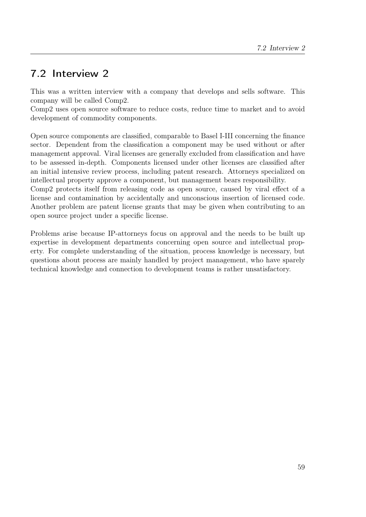# 7.2 Interview 2

This was a written interview with a company that develops and sells software. This company will be called Comp2.

Comp2 uses open source software to reduce costs, reduce time to market and to avoid development of commodity components.

Open source components are classified, comparable to Basel I-III concerning the finance sector. Dependent from the classification a component may be used without or after management approval. Viral licenses are generally excluded from classification and have to be assessed in-depth. Components licensed under other licenses are classified after an initial intensive review process, including patent research. Attorneys specialized on intellectual property approve a component, but management bears responsibility.

Comp2 protects itself from releasing code as open source, caused by viral effect of a license and contamination by accidentally and unconscious insertion of licensed code. Another problem are patent license grants that may be given when contributing to an open source project under a specific license.

Problems arise because IP-attorneys focus on approval and the needs to be built up expertise in development departments concerning open source and intellectual property. For complete understanding of the situation, process knowledge is necessary, but questions about process are mainly handled by project management, who have sparely technical knowledge and connection to development teams is rather unsatisfactory.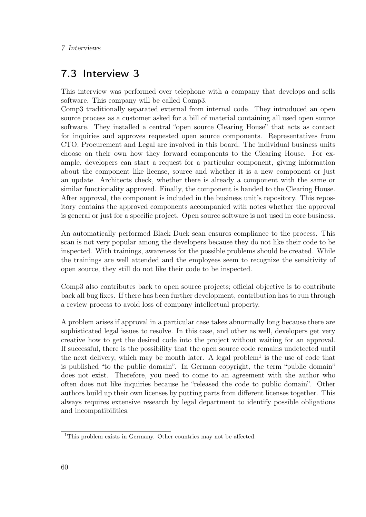## 7.3 Interview 3

This interview was performed over telephone with a company that develops and sells software. This company will be called Comp3.

Comp3 traditionally separated external from internal code. They introduced an open source process as a customer asked for a bill of material containing all used open source software. They installed a central "open source Clearing House" that acts as contact for inquiries and approves requested open source components. Representatives from CTO, Procurement and Legal are involved in this board. The individual business units choose on their own how they forward components to the Clearing House. For example, developers can start a request for a particular component, giving information about the component like license, source and whether it is a new component or just an update. Architects check, whether there is already a component with the same or similar functionality approved. Finally, the component is handed to the Clearing House. After approval, the component is included in the business unit's repository. This repository contains the approved components accompanied with notes whether the approval is general or just for a specific project. Open source software is not used in core business.

An automatically performed Black Duck scan ensures compliance to the process. This scan is not very popular among the developers because they do not like their code to be inspected. With trainings, awareness for the possible problems should be created. While the trainings are well attended and the employees seem to recognize the sensitivity of open source, they still do not like their code to be inspected.

Comp3 also contributes back to open source projects; official objective is to contribute back all bug fixes. If there has been further development, contribution has to run through a review process to avoid loss of company intellectual property.

A problem arises if approval in a particular case takes abnormally long because there are sophisticated legal issues to resolve. In this case, and other as well, developers get very creative how to get the desired code into the project without waiting for an approval. If successful, there is the possibility that the open source code remains undetected until the next delivery, which may be month later. A legal problem<sup>[1](#page-71-0)</sup> is the use of code that is published "to the public domain". In German copyright, the term "public domain" does not exist. Therefore, you need to come to an agreement with the author who often does not like inquiries because he "released the code to public domain". Other authors build up their own licenses by putting parts from different licenses together. This always requires extensive research by legal department to identify possible obligations and incompatibilities.

<span id="page-71-0"></span><sup>&</sup>lt;sup>1</sup>This problem exists in Germany. Other countries may not be affected.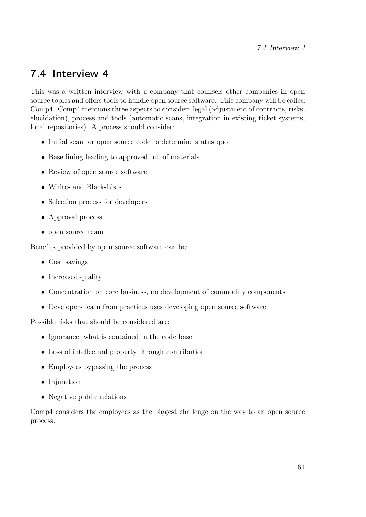## <span id="page-72-0"></span>7.4 Interview 4

This was a written interview with a company that counsels other companies in open source topics and offers tools to handle open source software. This company will be called Comp4. Comp4 mentions three aspects to consider: legal (adjustment of contracts, risks, elucidation), process and tools (automatic scans, integration in existing ticket systems, local repositories). A process should consider:

- Initial scan for open source code to determine status quo
- Base lining leading to approved bill of materials
- Review of open source software
- White- and Black-Lists
- Selection process for developers
- Approval process
- open source team

Benefits provided by open source software can be:

- Cost savings
- Increased quality
- Concentration on core business, no development of commodity components
- Developers learn from practices uses developing open source software

Possible risks that should be considered are:

- Ignorance, what is contained in the code base
- Loss of intellectual property through contribution
- Employees bypassing the process
- Injunction
- Negative public relations

Comp4 considers the employees as the biggest challenge on the way to an open source process.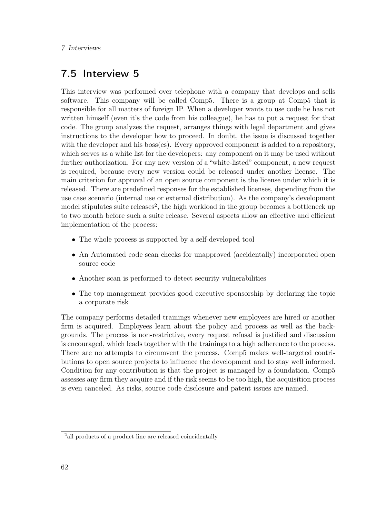### <span id="page-73-1"></span>7.5 Interview 5

This interview was performed over telephone with a company that develops and sells software. This company will be called Comp5. There is a group at Comp5 that is responsible for all matters of foreign IP. When a developer wants to use code he has not written himself (even it's the code from his colleague), he has to put a request for that code. The group analyzes the request, arranges things with legal department and gives instructions to the developer how to proceed. In doubt, the issue is discussed together with the developer and his boss(es). Every approved component is added to a repository, which serves as a white list for the developers: any component on it may be used without further authorization. For any new version of a "white-listed" component, a new request is required, because every new version could be released under another license. The main criterion for approval of an open source component is the license under which it is released. There are predefined responses for the established licenses, depending from the use case scenario (internal use or external distribution). As the company's development model stipulates suite releases<sup>[2](#page-73-0)</sup>, the high workload in the group becomes a bottleneck up to two month before such a suite release. Several aspects allow an effective and efficient implementation of the process:

- The whole process is supported by a self-developed tool
- An Automated code scan checks for unapproved (accidentally) incorporated open source code
- Another scan is performed to detect security vulnerabilities
- The top management provides good executive sponsorship by declaring the topic a corporate risk

The company performs detailed trainings whenever new employees are hired or another firm is acquired. Employees learn about the policy and process as well as the backgrounds. The process is non-restrictive, every request refusal is justified and discussion is encouraged, which leads together with the trainings to a high adherence to the process. There are no attempts to circumvent the process. Comp5 makes well-targeted contributions to open source projects to influence the development and to stay well informed. Condition for any contribution is that the project is managed by a foundation. Comp5 assesses any firm they acquire and if the risk seems to be too high, the acquisition process is even canceled. As risks, source code disclosure and patent issues are named.

<span id="page-73-0"></span><sup>&</sup>lt;sup>2</sup> all products of a product line are released coincidentally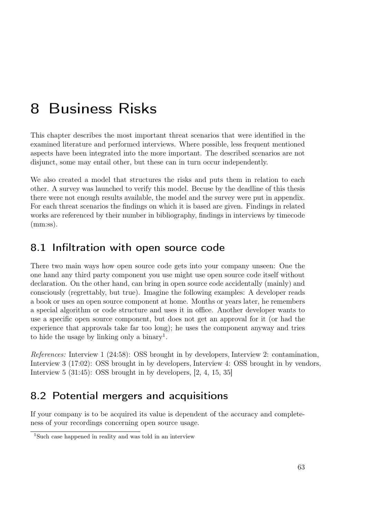# <span id="page-74-1"></span>8 Business Risks

This chapter describes the most important threat scenarios that were identified in the examined literature and performed interviews. Where possible, less frequent mentioned aspects have been integrated into the more important. The described scenarios are not disjunct, some may entail other, but these can in turn occur independently.

We also created a model that structures the risks and puts them in relation to each other. A survey was launched to verify this model. Becuse by the deadline of this thesis there were not enough results available, the model and the survey were put in appendix. For each threat scenarios the findings on which it is based are given. Findings in related works are referenced by their number in bibliography, findings in interviews by timecode  $(mm:ss).$ 

## 8.1 Infiltration with open source code

There two main ways how open source code gets into your company unseen: One the one hand any third party component you use might use open source code itself without declaration. On the other hand, can bring in open source code accidentally (mainly) and consciously (regrettably, but true). Imagine the following examples: A developer reads a book or uses an open source component at home. Months or years later, he remembers a special algorithm or code structure and uses it in office. Another developer wants to use a specific open source component, but does not get an approval for it (or had the experience that approvals take far too long); he uses the component anyway and tries to hide the usage by linking only a binary<sup>[1](#page-74-0)</sup>.

References: [Interview 1](#page-68-0) (24:58): OSS brought in by developers, [Interview 2:](#page-70-0) contamination, [Interview 3](#page-71-0) (17:02): OSS brought in by developers, [Interview 4:](#page-72-0) OSS brought in by vendors, [Interview 5](#page-73-1) (31:45): OSS brought in by developers, [\[2,](#page-100-0) [4,](#page-100-1) [15,](#page-101-0) [35\]](#page-102-0)

## 8.2 Potential mergers and acquisitions

If your company is to be acquired its value is dependent of the accuracy and completeness of your recordings concerning open source usage.

<span id="page-74-0"></span><sup>&</sup>lt;sup>1</sup>Such case happened in reality and was told in an interview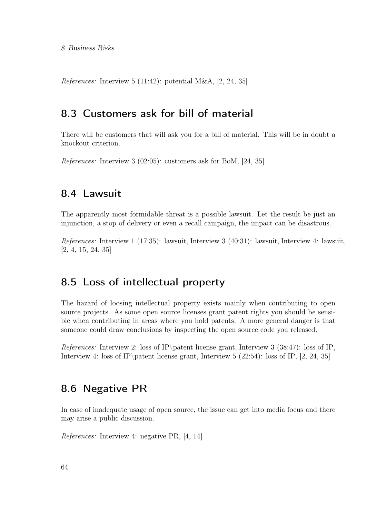*References:* [Interview 5](#page-73-1)  $(11:42)$ : potential M&A,  $[2, 24, 35]$  $[2, 24, 35]$  $[2, 24, 35]$  $[2, 24, 35]$  $[2, 24, 35]$ 

### 8.3 Customers ask for bill of material

There will be customers that will ask you for a bill of material. This will be in doubt a knockout criterion.

References: [Interview 3](#page-71-0) (02:05): customers ask for BoM, [\[24,](#page-101-1) [35\]](#page-102-0)

### 8.4 Lawsuit

The apparently most formidable threat is a possible lawsuit. Let the result be just an injunction, a stop of delivery or even a recall campaign, the impact can be disastrous.

References: [Interview 1](#page-68-0) (17:35): lawsuit, [Interview 3](#page-71-0) (40:31): lawsuit, [Interview 4:](#page-72-0) lawsuit, [\[2,](#page-100-0) [4,](#page-100-1) [15,](#page-101-0) [24,](#page-101-1) [35\]](#page-102-0)

### 8.5 Loss of intellectual property

The hazard of loosing intellectual property exists mainly when contributing to open source projects. As some open source licenses grant patent rights you should be sensible when contributing in areas where you hold patents. A more general danger is that someone could draw conclusions by inspecting the open source code you released.

References: [Interview 2:](#page-70-0) loss of IP\patent license grant, [Interview 3](#page-71-0) (38:47): loss of IP, [Interview 4:](#page-72-0) loss of IP\patent license grant, [Interview 5](#page-73-1) (22:54): loss of IP, [\[2,](#page-100-0) [24,](#page-101-1) [35\]](#page-102-0)

### 8.6 Negative PR

In case of inadequate usage of open source, the issue can get into media focus and there may arise a public discussion.

References: [Interview 4:](#page-72-0) negative PR, [\[4,](#page-100-1) [14\]](#page-101-2)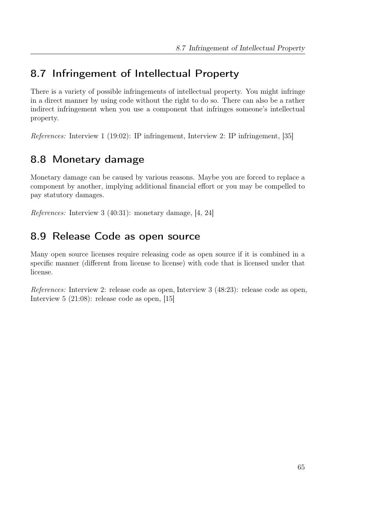# 8.7 Infringement of Intellectual Property

There is a variety of possible infringements of intellectual property. You might infringe in a direct manner by using code without the right to do so. There can also be a rather indirect infringement when you use a component that infringes someone's intellectual property.

References: [Interview 1](#page-68-0) (19:02): IP infringement, [Interview 2:](#page-70-0) IP infringement, [\[35\]](#page-102-0)

# 8.8 Monetary damage

Monetary damage can be caused by various reasons. Maybe you are forced to replace a component by another, implying additional financial effort or you may be compelled to pay statutory damages.

References: [Interview 3](#page-71-0) (40:31): monetary damage, [\[4,](#page-100-1) [24\]](#page-101-1)

## 8.9 Release Code as open source

Many open source licenses require releasing code as open source if it is combined in a specific manner (different from license to license) with code that is licensed under that license.

References: [Interview 2:](#page-70-0) release code as open, [Interview 3](#page-71-0) (48:23): release code as open, [Interview 5](#page-73-1) (21:08): release code as open, [\[15\]](#page-101-0)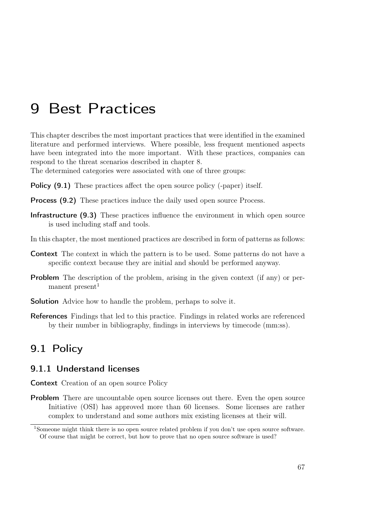# 9 Best Practices

This chapter describes the most important practices that were identified in the examined literature and performed interviews. Where possible, less frequent mentioned aspects have been integrated into the more important. With these practices, companies can respond to the threat scenarios described in chapter [8.](#page-74-1)

The determined categories were associated with one of three groups:

Policy [\(9.1\)](#page-78-0) These practices affect the open source policy (-paper) itself.

Process [\(9.2\)](#page-81-0) These practices induce the daily used open source Process.

- Infrastructure [\(9.3\)](#page-83-0) These practices influence the environment in which open source is used including staff and tools.
- In this chapter, the most mentioned practices are described in form of patterns as follows:
- Context The context in which the pattern is to be used. Some patterns do not have a specific context because they are initial and should be performed anyway.
- Problem The description of the problem, arising in the given context (if any) or permanent present $1$
- **Solution** Advice how to handle the problem, perhaps to solve it.
- References Findings that led to this practice. Findings in related works are referenced by their number in bibliography, findings in interviews by timecode (mm:ss).

## <span id="page-78-0"></span>9.1 Policy

#### 9.1.1 Understand licenses

Context Creation of an open source Policy

**Problem** There are uncountable open source licenses out there. Even the open source Initiative (OSI) has approved more than 60 licenses. Some licenses are rather complex to understand and some authors mix existing licenses at their will.

<span id="page-78-1"></span><sup>1</sup>Someone might think there is no open source related problem if you don't use open source software. Of course that might be correct, but how to prove that no open source software is used?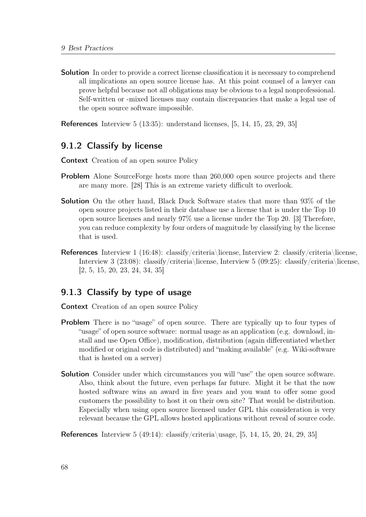**Solution** In order to provide a correct license classification it is necessary to comprehend all implications an open source license has. At this point counsel of a lawyer can prove helpful because not all obligations may be obvious to a legal nonprofessional. Self-written or -mixed licenses may contain discrepancies that make a legal use of the open source software impossible.

References [Interview 5](#page-73-1) (13:35): understand licenses, [\[5,](#page-100-2) [14,](#page-101-2) [15,](#page-101-0) [23,](#page-101-3) [29,](#page-102-1) [35\]](#page-102-0)

### 9.1.2 Classify by license

- Context Creation of an open source Policy
- **Problem** Alone SourceForge hosts more than 260,000 open source projects and there are many more. [\[28\]](#page-102-2) This is an extreme variety difficult to overlook.
- Solution On the other hand, Black Duck Software states that more than 93% of the open source projects listed in their database use a license that is under the Top 10 open source licenses and nearly 97% use a license under the Top 20. [\[3\]](#page-100-3) Therefore, you can reduce complexity by four orders of magnitude by classifying by the license that is used.
- References [Interview 1](#page-68-0) (16:48): classify/criteria\license, [Interview 2:](#page-70-0) classify/criteria\license, [Interview 3](#page-71-0) (23:08): classify/criteria\license, [Interview 5](#page-73-1) (09:25): classify/criteria\license, [\[2,](#page-100-0) [5,](#page-100-2) [15,](#page-101-0) [20,](#page-101-4) [23,](#page-101-3) [24,](#page-101-1) [34,](#page-102-3) [35\]](#page-102-0)

#### <span id="page-79-0"></span>9.1.3 Classify by type of usage

Context Creation of an open source Policy

- **Problem** There is no "usage" of open source. There are typically up to four types of "usage" of open source software: normal usage as an application (e.g. download, install and use Open Office), modification, distribution (again differentiated whether modified or original code is distributed) and "making available" (e.g. Wiki-software that is hosted on a server)
- Solution Consider under which circumstances you will "use" the open source software. Also, think about the future, even perhaps far future. Might it be that the now hosted software wins an award in five years and you want to offer some good customers the possibility to host it on their own site? That would be distribution. Especially when using open source licensed under GPL this consideration is very relevant because the GPL allows hosted applications without reveal of source code.

References [Interview 5](#page-73-1) (49:14): classify/criteria\usage, [\[5,](#page-100-2) [14,](#page-101-2) [15,](#page-101-0) [20,](#page-101-4) [24,](#page-101-1) [29,](#page-102-1) [35\]](#page-102-0)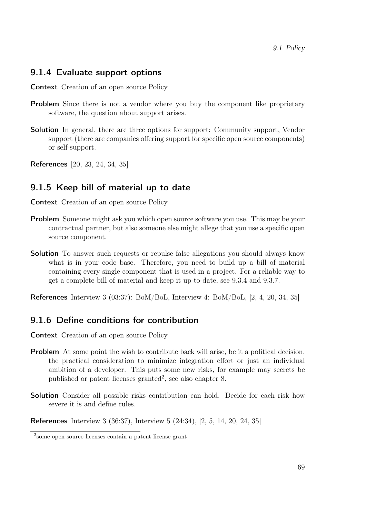#### 9.1.4 Evaluate support options

Context Creation of an open source Policy

- **Problem** Since there is not a vendor where you buy the component like proprietary software, the question about support arises.
- **Solution** In general, there are three options for support: Community support, Vendor support (there are companies offering support for specific open source components) or self-support.

References [\[20,](#page-101-4) [23,](#page-101-3) [24,](#page-101-1) [34,](#page-102-3) [35\]](#page-102-0)

#### 9.1.5 Keep bill of material up to date

Context Creation of an open source Policy

- **Problem** Someone might ask you which open source software you use. This may be your contractual partner, but also someone else might allege that you use a specific open source component.
- **Solution** To answer such requests or repulse false allegations you should always know what is in your code base. Therefore, you need to build up a bill of material containing every single component that is used in a project. For a reliable way to get a complete bill of material and keep it up-to-date, see [9.3.4](#page-84-0) and [9.3.7.](#page-85-0)

References [Interview 3](#page-71-0) (03:37): BoM/BoL, [Interview 4:](#page-72-0) BoM/BoL, [\[2,](#page-100-0) [4,](#page-100-1) [20,](#page-101-4) [34,](#page-102-3) [35\]](#page-102-0)

#### 9.1.6 Define conditions for contribution

Context Creation of an open source Policy

- Problem At some point the wish to contribute back will arise, be it a political decision, the practical consideration to minimize integration effort or just an individual ambition of a developer. This puts some new risks, for example may secrets be published or patent licenses granted<sup>[2](#page-80-0)</sup>, see also chapter [8.](#page-74-1)
- **Solution** Consider all possible risks contribution can hold. Decide for each risk how severe it is and define rules.

References [Interview 3](#page-71-0) (36:37), [Interview 5](#page-73-1) (24:34), [\[2,](#page-100-0) [5,](#page-100-2) [14,](#page-101-2) [20,](#page-101-4) [24,](#page-101-1) [35\]](#page-102-0)

<span id="page-80-0"></span><sup>2</sup> some open source licenses contain a patent license grant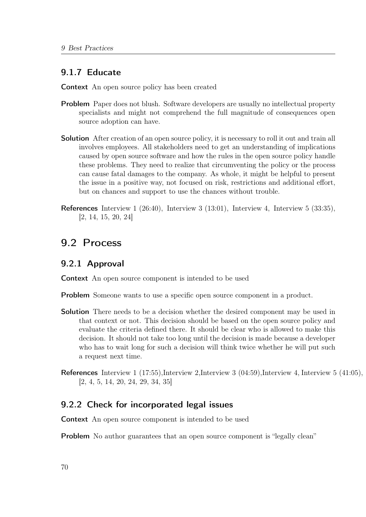#### 9.1.7 Educate

Context An open source policy has been created

- Problem Paper does not blush. Software developers are usually no intellectual property specialists and might not comprehend the full magnitude of consequences open source adoption can have.
- **Solution** After creation of an open source policy, it is necessary to roll it out and train all involves employees. All stakeholders need to get an understanding of implications caused by open source software and how the rules in the open source policy handle these problems. They need to realize that circumventing the policy or the process can cause fatal damages to the company. As whole, it might be helpful to present the issue in a positive way, not focused on risk, restrictions and additional effort, but on chances and support to use the chances without trouble.
- References [Interview 1](#page-68-0) (26:40), [Interview 3](#page-71-0) (13:01), [Interview 4,](#page-72-0) [Interview 5](#page-73-1) (33:35), [\[2,](#page-100-0) [14,](#page-101-2) [15,](#page-101-0) [20,](#page-101-4) [24\]](#page-101-1)

### <span id="page-81-0"></span>9.2 Process

#### 9.2.1 Approval

Context An open source component is intended to be used

Problem Someone wants to use a specific open source component in a product.

- **Solution** There needs to be a decision whether the desired component may be used in that context or not. This decision should be based on the open source policy and evaluate the criteria defined there. It should be clear who is allowed to make this decision. It should not take too long until the decision is made because a developer who has to wait long for such a decision will think twice whether he will put such a request next time.
- References [Interview 1](#page-68-0) (17:55)[,Interview 2,](#page-70-0)[Interview 3](#page-71-0) (04:59)[,Interview 4,](#page-72-0) [Interview 5](#page-73-1) (41:05), [\[2,](#page-100-0) [4,](#page-100-1) [5,](#page-100-2) [14,](#page-101-2) [20,](#page-101-4) [24,](#page-101-1) [29,](#page-102-1) [34,](#page-102-3) [35\]](#page-102-0)

#### 9.2.2 Check for incorporated legal issues

Context An open source component is intended to be used

**Problem** No author guarantees that an open source component is "legally clean"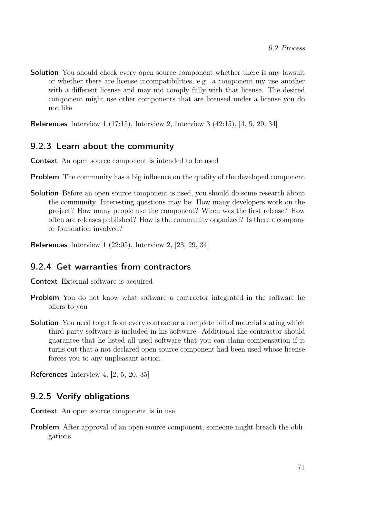**Solution** You should check every open source component whether there is any lawsuit or whether there are license incompatibilities, e.g. a component my use another with a different license and may not comply fully with that license. The desired component might use other components that are licensed under a license you do not like.

References [Interview 1](#page-68-0) (17:15), [Interview 2,](#page-70-0) [Interview 3](#page-71-0) (42:15), [\[4,](#page-100-1) [5,](#page-100-2) [29,](#page-102-1) [34\]](#page-102-3)

### 9.2.3 Learn about the community

Context An open source component is intended to be used

- **Problem** The community has a big influence on the quality of the developed component
- Solution Before an open source component is used, you should do some research about the community. Interesting questions may be: How many developers work on the project? How many people use the component? When was the first release? How often are releases published? How is the community organized? Is there a company or foundation involved?

References [Interview 1](#page-68-0) (22:05), [Interview 2,](#page-70-0) [\[23,](#page-101-3) [29,](#page-102-1) [34\]](#page-102-3)

### 9.2.4 Get warranties from contractors

Context External software is acquired

- Problem You do not know what software a contractor integrated in the software he offers to you
- **Solution** You need to get from every contractor a complete bill of material stating which third party software is included in his software. Additional the contractor should guarantee that he listed all used software that you can claim compensation if it turns out that a not declared open source component had been used whose license forces you to any unpleasant action.

References [Interview 4,](#page-72-0) [\[2,](#page-100-0) [5,](#page-100-2) [20,](#page-101-4) [35\]](#page-102-0)

### 9.2.5 Verify obligations

Context An open source component is in use

**Problem** After approval of an open source component, someone might breach the obligations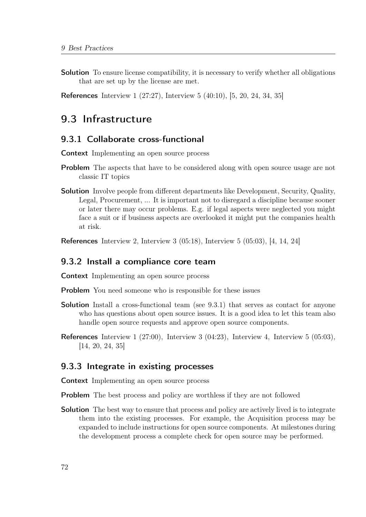Solution To ensure license compatibility, it is necessary to verify whether all obligations that are set up by the license are met.

References [Interview 1](#page-68-0) (27:27), [Interview 5](#page-73-1) (40:10), [\[5,](#page-100-2) [20,](#page-101-4) [24,](#page-101-1) [34,](#page-102-3) [35\]](#page-102-0)

### <span id="page-83-0"></span>9.3 Infrastructure

#### <span id="page-83-1"></span>9.3.1 Collaborate cross-functional

Context Implementing an open source process

- Problem The aspects that have to be considered along with open source usage are not classic IT topics
- Solution Involve people from different departments like Development, Security, Quality, Legal, Procurement, ... It is important not to disregard a discipline because sooner or later there may occur problems. E.g. if legal aspects were neglected you might face a suit or if business aspects are overlooked it might put the companies health at risk.

References [Interview 2,](#page-70-0) [Interview 3](#page-71-0) (05:18), [Interview 5](#page-73-1) (05:03), [\[4,](#page-100-1) [14,](#page-101-2) [24\]](#page-101-1)

#### 9.3.2 Install a compliance core team

Context Implementing an open source process

**Problem** You need someone who is responsible for these issues

- Solution Install a cross-functional team (see [9.3.1\)](#page-83-1) that serves as contact for anyone who has questions about open source issues. It is a good idea to let this team also handle open source requests and approve open source components.
- References [Interview 1](#page-68-0) (27:00), [Interview 3](#page-71-0) (04:23), [Interview 4,](#page-72-0) [Interview 5](#page-73-1) (05:03), [\[14,](#page-101-2) [20,](#page-101-4) [24,](#page-101-1) [35\]](#page-102-0)

#### 9.3.3 Integrate in existing processes

Context Implementing an open source process

Problem The best process and policy are worthless if they are not followed

**Solution** The best way to ensure that process and policy are actively lived is to integrate them into the existing processes. For example, the Acquisition process may be expanded to include instructions for open source components. At milestones during the development process a complete check for open source may be performed.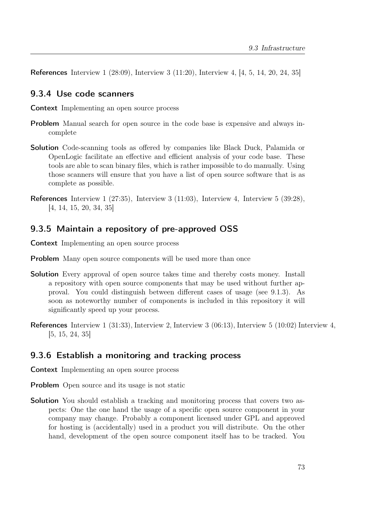References [Interview 1](#page-68-0) (28:09), [Interview 3](#page-71-0) (11:20), [Interview 4,](#page-72-0) [\[4,](#page-100-1) [5,](#page-100-2) [14,](#page-101-2) [20,](#page-101-4) [24,](#page-101-1) [35\]](#page-102-0)

#### <span id="page-84-0"></span>9.3.4 Use code scanners

Context Implementing an open source process

- Problem Manual search for open source in the code base is expensive and always incomplete
- **Solution** Code-scanning tools as offered by companies like Black Duck, Palamida or OpenLogic facilitate an effective and efficient analysis of your code base. These tools are able to scan binary files, which is rather impossible to do manually. Using those scanners will ensure that you have a list of open source software that is as complete as possible.
- References [Interview 1](#page-68-0) (27:35), [Interview 3](#page-71-0) (11:03), [Interview 4,](#page-72-0) [Interview 5](#page-73-1) (39:28), [\[4,](#page-100-1) [14,](#page-101-2) [15,](#page-101-0) [20,](#page-101-4) [34,](#page-102-3) [35\]](#page-102-0)

#### 9.3.5 Maintain a repository of pre-approved OSS

Context Implementing an open source process

- **Problem** Many open source components will be used more than once
- Solution Every approval of open source takes time and thereby costs money. Install a repository with open source components that may be used without further approval. You could distinguish between different cases of usage (see [9.1.3\)](#page-79-0). As soon as noteworthy number of components is included in this repository it will significantly speed up your process.
- References [Interview 1](#page-68-0) (31:33), [Interview 2,](#page-70-0) [Interview 3](#page-71-0) (06:13), [Interview 5](#page-73-1) (10:02) [Interview 4,](#page-72-0) [\[5,](#page-100-2) [15,](#page-101-0) [24,](#page-101-1) [35\]](#page-102-0)

#### 9.3.6 Establish a monitoring and tracking process

Context Implementing an open source process

- **Problem** Open source and its usage is not static
- Solution You should establish a tracking and monitoring process that covers two aspects: One the one hand the usage of a specific open source component in your company may change. Probably a component licensed under GPL and approved for hosting is (accidentally) used in a product you will distribute. On the other hand, development of the open source component itself has to be tracked. You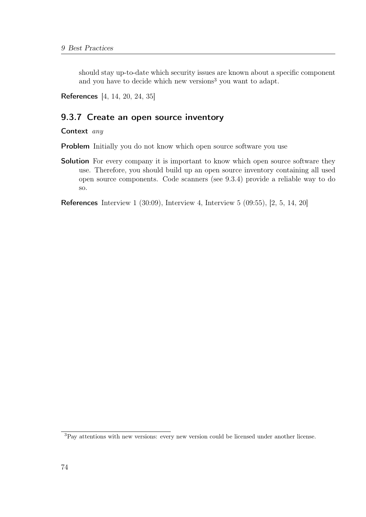should stay up-to-date which security issues are known about a specific component and you have to decide which new versions<sup>[3](#page-85-1)</sup> you want to adapt.

References [\[4,](#page-100-1) [14,](#page-101-2) [20,](#page-101-4) [24,](#page-101-1) [35\]](#page-102-0)

### <span id="page-85-0"></span>9.3.7 Create an open source inventory

Context any

**Problem** Initially you do not know which open source software you use

**Solution** For every company it is important to know which open source software they use. Therefore, you should build up an open source inventory containing all used open source components. Code scanners (see [9.3.4\)](#page-84-0) provide a reliable way to do so.

References [Interview 1](#page-68-0) (30:09), [Interview 4,](#page-72-0) [Interview 5](#page-73-1) (09:55), [\[2,](#page-100-0) [5,](#page-100-2) [14,](#page-101-2) [20\]](#page-101-4)

<span id="page-85-1"></span><sup>3</sup>Pay attentions with new versions: every new version could be licensed under another license.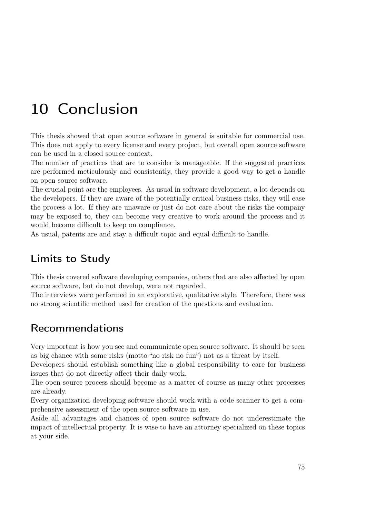# 10 Conclusion

This thesis showed that open source software in general is suitable for commercial use. This does not apply to every license and every project, but overall open source software can be used in a closed source context.

The number of practices that are to consider is manageable. If the suggested practices are performed meticulously and consistently, they provide a good way to get a handle on open source software.

The crucial point are the employees. As usual in software development, a lot depends on the developers. If they are aware of the potentially critical business risks, they will ease the process a lot. If they are unaware or just do not care about the risks the company may be exposed to, they can become very creative to work around the process and it would become difficult to keep on compliance.

As usual, patents are and stay a difficult topic and equal difficult to handle.

# Limits to Study

This thesis covered software developing companies, others that are also affected by open source software, but do not develop, were not regarded.

The interviews were performed in an explorative, qualitative style. Therefore, there was no strong scientific method used for creation of the questions and evaluation.

## Recommendations

Very important is how you see and communicate open source software. It should be seen as big chance with some risks (motto "no risk no fun") not as a threat by itself.

Developers should establish something like a global responsibility to care for business issues that do not directly affect their daily work.

The open source process should become as a matter of course as many other processes are already.

Every organization developing software should work with a code scanner to get a comprehensive assessment of the open source software in use.

Aside all advantages and chances of open source software do not underestimate the impact of intellectual property. It is wise to have an attorney specialized on these topics at your side.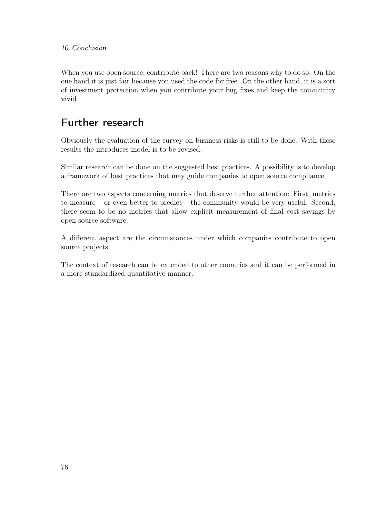When you use open source, contribute back! There are two reasons why to do so: On the one hand it is just fair because you used the code for free. On the other hand, it is a sort of investment protection when you contribute your bug fixes and keep the community vivid.

## Further research

Obviously the evaluation of the survey on business risks is still to be done. With these results the introduces model is to be revised.

Similar research can be done on the suggested best practices. A possibility is to develop a framework of best practices that may guide companies to open source compliance.

There are two aspects concerning metrics that deserve further attention: First, metrics to measure – or even better to predict – the community would be very useful. Second, there seem to be no metrics that allow explicit measurement of final cost savings by open source software.

A different aspect are the circumstances under which companies contribute to open source projects.

The context of research can be extended to other countries and it can be performed in a more standardized quantitative manner.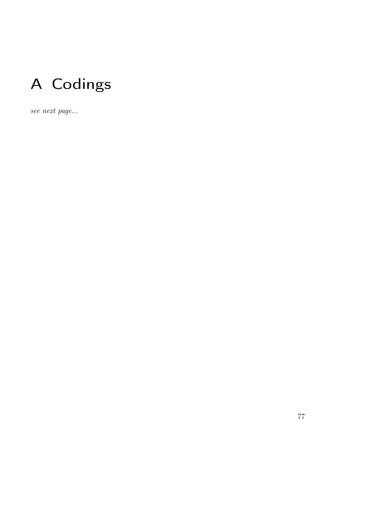

see next page...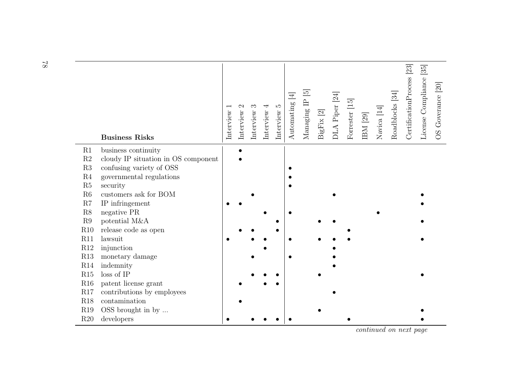|                      | <b>Business Risks</b>                                | Interview | Interview | Interview | 4<br>Interview | $\mathbf{r}$<br>Interview | $\overline{4}$<br>Automating | Managing IP [5] | $\rm{BigFix}$ [2] | DLA Piper <sup>[24]</sup> | Forrester [15] | $\rm{IBM}$ [29] | Navica $\left[ 14\right]$ | Roadblocks [34] | $\text{Certification Process}$ [23] | License Compliance [35] | OS Goverance [20] |
|----------------------|------------------------------------------------------|-----------|-----------|-----------|----------------|---------------------------|------------------------------|-----------------|-------------------|---------------------------|----------------|-----------------|---------------------------|-----------------|-------------------------------------|-------------------------|-------------------|
| R1                   | business continuity                                  |           |           |           |                |                           |                              |                 |                   |                           |                |                 |                           |                 |                                     |                         |                   |
| $\mathbf{R}2$        | cloudy IP situation in OS component                  |           |           |           |                |                           |                              |                 |                   |                           |                |                 |                           |                 |                                     |                         |                   |
| R3<br>R <sub>4</sub> | confusing variety of OSS<br>governmental regulations |           |           |           |                |                           |                              |                 |                   |                           |                |                 |                           |                 |                                     |                         |                   |
| R5                   | security                                             |           |           |           |                |                           |                              |                 |                   |                           |                |                 |                           |                 |                                     |                         |                   |
| R6                   | customers ask for BOM                                |           |           |           |                |                           |                              |                 |                   |                           |                |                 |                           |                 |                                     |                         |                   |
| R7                   | IP infringement                                      |           |           |           |                |                           |                              |                 |                   |                           |                |                 |                           |                 |                                     |                         |                   |
| $\mathbf{R}8$        | negative PR                                          |           |           |           |                |                           |                              |                 |                   |                           |                |                 |                           |                 |                                     |                         |                   |
| $\mathbf{R}9$        | potential M&A                                        |           |           |           |                |                           |                              |                 |                   |                           |                |                 |                           |                 |                                     |                         |                   |
| R10                  | release code as open                                 |           |           |           |                |                           |                              |                 |                   |                           |                |                 |                           |                 |                                     |                         |                   |
| R11                  | lawsuit                                              |           |           |           |                |                           |                              |                 |                   |                           |                |                 |                           |                 |                                     |                         |                   |
| R12                  | injunction                                           |           |           |           |                |                           |                              |                 |                   |                           |                |                 |                           |                 |                                     |                         |                   |
| R13                  | monetary damage                                      |           |           |           |                |                           |                              |                 |                   |                           |                |                 |                           |                 |                                     |                         |                   |
| R14                  | indemnity                                            |           |           |           |                |                           |                              |                 |                   |                           |                |                 |                           |                 |                                     |                         |                   |
| R15                  | loss of IP                                           |           |           |           |                |                           |                              |                 |                   |                           |                |                 |                           |                 |                                     |                         |                   |
| R16                  | patent license grant                                 |           |           |           |                |                           |                              |                 |                   |                           |                |                 |                           |                 |                                     |                         |                   |
| R17                  | contributions by employees                           |           |           |           |                |                           |                              |                 |                   |                           |                |                 |                           |                 |                                     |                         |                   |
| <b>R18</b>           | contamination                                        |           |           |           |                |                           |                              |                 |                   |                           |                |                 |                           |                 |                                     |                         |                   |
| R19                  | OSS brought in by                                    |           |           |           |                |                           |                              |                 |                   |                           |                |                 |                           |                 |                                     |                         |                   |
| R20                  | developers                                           |           |           |           |                |                           |                              |                 |                   |                           |                |                 |                           |                 |                                     |                         |                   |

78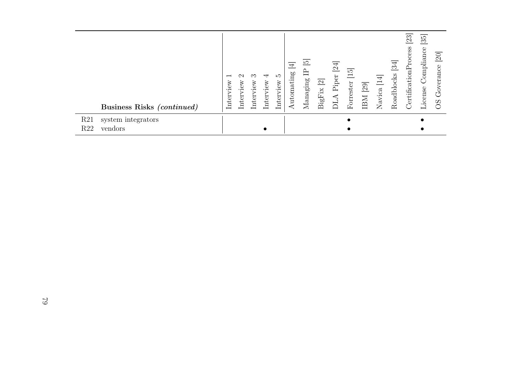| Business Risks (continued)                              | $\overline{ }$<br>ΘW<br>Inter<br>Inter | iew<br>ξ<br>Inter | ↽<br>iew<br>Inter | IJ<br>view<br>Inter | $\overline{4}$<br>Automating | <u>ದ</u><br>ᄅ<br>$M$ anaging | $\overline{\mathfrak{D}}$<br><b>BigFix</b> | 24<br>Piper<br>ALIQ | הנ<br>Forrester | [29]<br>IBM | $\overline{\mathcal{A}}$<br>Navica | 34<br>Roadblocks | 23<br>CertificationPro | $\overline{35}$<br>$\emph{Complique}$<br>License | $\overline{20}$<br>erance<br>Gŏ<br>$\Omega$<br>⌒ |
|---------------------------------------------------------|----------------------------------------|-------------------|-------------------|---------------------|------------------------------|------------------------------|--------------------------------------------|---------------------|-----------------|-------------|------------------------------------|------------------|------------------------|--------------------------------------------------|--------------------------------------------------|
| R21<br>system integrators<br>R <sub>22</sub><br>vendors |                                        |                   |                   |                     |                              |                              |                                            |                     |                 |             |                                    |                  |                        |                                                  |                                                  |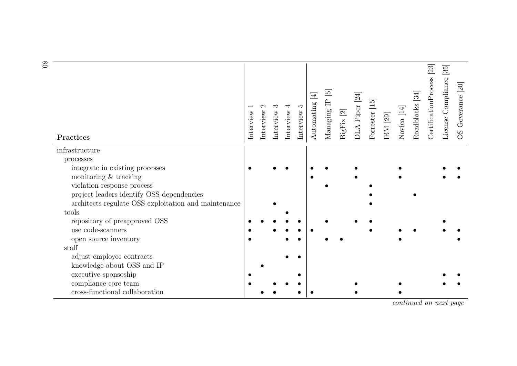| Practices                                            | Interview | Interview | Interview | ↤<br>Interview | ΓC.<br>Interview | $\overline{4}$<br>Automating | $\overline{5}$<br>白<br>Managing | BigFix [2] | $\overline{24}$<br>DLA Piper | Forrester [15] | IBM [29] | Navica [14] | Roadblocks [34] | [23]<br>CertificationProcess | 35<br>License Compliance | OS Goverance [20] |
|------------------------------------------------------|-----------|-----------|-----------|----------------|------------------|------------------------------|---------------------------------|------------|------------------------------|----------------|----------|-------------|-----------------|------------------------------|--------------------------|-------------------|
| infrastructure                                       |           |           |           |                |                  |                              |                                 |            |                              |                |          |             |                 |                              |                          |                   |
| processes                                            |           |           |           |                |                  |                              |                                 |            |                              |                |          |             |                 |                              |                          |                   |
| integrate in existing processes                      |           |           |           |                |                  |                              |                                 |            |                              |                |          |             |                 |                              |                          |                   |
| monitoring & tracking                                |           |           |           |                |                  |                              |                                 |            |                              |                |          |             |                 |                              |                          |                   |
| violation response process                           |           |           |           |                |                  |                              |                                 |            |                              |                |          |             |                 |                              |                          |                   |
| project leaders identify OSS dependencies            |           |           |           |                |                  |                              |                                 |            |                              |                |          |             |                 |                              |                          |                   |
| architects regulate OSS exploitation and maintenance |           |           |           |                |                  |                              |                                 |            |                              |                |          |             |                 |                              |                          |                   |
| tools                                                |           |           |           |                |                  |                              |                                 |            |                              |                |          |             |                 |                              |                          |                   |
| repository of preapproved OSS                        |           |           |           |                |                  |                              |                                 |            |                              |                |          |             |                 |                              |                          |                   |
| use code-scanners                                    |           |           |           |                |                  |                              |                                 |            |                              |                |          |             |                 |                              |                          |                   |
| open source inventory<br>staff                       |           |           |           |                |                  |                              |                                 |            |                              |                |          |             |                 |                              |                          |                   |
| adjust employee contracts                            |           |           |           |                |                  |                              |                                 |            |                              |                |          |             |                 |                              |                          |                   |
| knowledge about OSS and IP                           |           |           |           |                |                  |                              |                                 |            |                              |                |          |             |                 |                              |                          |                   |
| executive sponsoship                                 |           |           |           |                |                  |                              |                                 |            |                              |                |          |             |                 |                              |                          |                   |
| compliance core team                                 |           |           |           |                |                  |                              |                                 |            |                              |                |          |             |                 |                              |                          |                   |
| cross-functional collaboration                       |           |           |           |                |                  |                              |                                 |            |                              |                |          |             |                 |                              |                          |                   |
|                                                      |           |           |           |                |                  |                              |                                 |            |                              |                |          |             |                 |                              |                          |                   |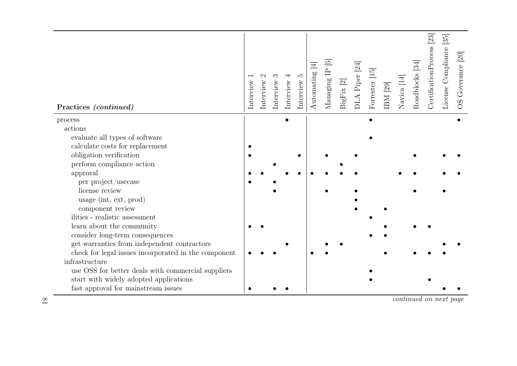| Practices <i>(continued)</i>                         | Interview | Interview | Interview | 4<br>nterview | $\mathfrak{L}$<br>Interview | $\overline{\Xi}$<br>Automating | $\overline{5}$<br>$\mathbb{P}$<br>$M$ anaging | $Big$ igFix [2] | DLA Piper [24] | Forrester [15] | $\rm{IBM}$ [29] | Navica [14] | Roadblocks <sup>[34]</sup> | CertificationProcess <sup>[23]</sup> | $\overline{35}$<br>License Compliance | OS Goverance [20] |
|------------------------------------------------------|-----------|-----------|-----------|---------------|-----------------------------|--------------------------------|-----------------------------------------------|-----------------|----------------|----------------|-----------------|-------------|----------------------------|--------------------------------------|---------------------------------------|-------------------|
| process                                              |           |           |           |               |                             |                                |                                               |                 |                |                |                 |             |                            |                                      |                                       |                   |
| actions                                              |           |           |           |               |                             |                                |                                               |                 |                |                |                 |             |                            |                                      |                                       |                   |
| evaluate all types of software                       |           |           |           |               |                             |                                |                                               |                 |                |                |                 |             |                            |                                      |                                       |                   |
| calculate costs for replacement                      |           |           |           |               |                             |                                |                                               |                 |                |                |                 |             |                            |                                      |                                       |                   |
| obligation verification                              |           |           |           |               |                             |                                |                                               |                 |                |                |                 |             |                            |                                      |                                       |                   |
| perform compliance action                            |           |           |           |               |                             |                                |                                               |                 |                |                |                 |             |                            |                                      |                                       |                   |
| approval                                             |           |           |           |               |                             |                                |                                               |                 |                |                |                 |             |                            |                                      |                                       |                   |
| per project/usecase                                  |           |           |           |               |                             |                                |                                               |                 |                |                |                 |             |                            |                                      |                                       |                   |
| license review                                       |           |           |           |               |                             |                                |                                               |                 |                |                |                 |             |                            |                                      |                                       |                   |
| usage (int, ext, prod)                               |           |           |           |               |                             |                                |                                               |                 |                |                |                 |             |                            |                                      |                                       |                   |
| component review                                     |           |           |           |               |                             |                                |                                               |                 |                |                |                 |             |                            |                                      |                                       |                   |
| ilities - realistic assessment                       |           |           |           |               |                             |                                |                                               |                 |                |                |                 |             |                            |                                      |                                       |                   |
| learn about the community                            |           |           |           |               |                             |                                |                                               |                 |                |                |                 |             |                            |                                      |                                       |                   |
| consider long-term consequences                      |           |           |           |               |                             |                                |                                               |                 |                |                |                 |             |                            |                                      |                                       |                   |
| get warranties from independent contractors          |           |           |           |               |                             |                                |                                               |                 |                |                |                 |             |                            |                                      |                                       |                   |
| check for legal issues incorporated in the component |           |           |           |               |                             |                                |                                               |                 |                |                |                 |             |                            |                                      |                                       |                   |
| infrastructure                                       |           |           |           |               |                             |                                |                                               |                 |                |                |                 |             |                            |                                      |                                       |                   |
| use OSS for better deals with commercial suppliers   |           |           |           |               |                             |                                |                                               |                 |                |                |                 |             |                            |                                      |                                       |                   |
| start with widely adopted applications               |           |           |           |               |                             |                                |                                               |                 |                |                |                 |             |                            |                                      |                                       |                   |
| fast approval for mainstream issues                  |           |           |           |               |                             |                                |                                               |                 |                |                |                 |             |                            |                                      |                                       |                   |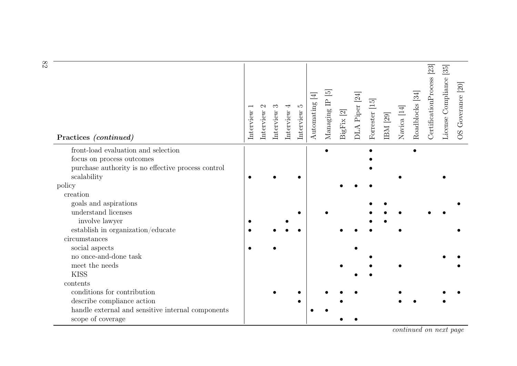| Practices (continued)                                                  | Interview | Interview | ಌ<br>Interview | 4<br>Interview | r.<br>Interview | $\overline{\mathcal{F}}$<br>Automating | $\overline{5}$<br>$\triangle$<br>Managing | BigFix [2] | DLA Piper <sup>[24]</sup> | Forrester [15] | $\rm{IBM}$ [29] | Navica [14] | Roadblocks [34] | [23]<br>CertificationProcess | $\overline{35}$<br>License Compliance | OS Goverance [20] |
|------------------------------------------------------------------------|-----------|-----------|----------------|----------------|-----------------|----------------------------------------|-------------------------------------------|------------|---------------------------|----------------|-----------------|-------------|-----------------|------------------------------|---------------------------------------|-------------------|
| front-load evaluation and selection                                    |           |           |                |                |                 |                                        |                                           |            |                           |                |                 |             |                 |                              |                                       |                   |
| focus on process outcomes                                              |           |           |                |                |                 |                                        |                                           |            |                           |                |                 |             |                 |                              |                                       |                   |
| purchase authority is no effective process control<br>scalability      |           |           |                |                |                 |                                        |                                           |            |                           |                |                 |             |                 |                              |                                       |                   |
| policy                                                                 |           |           |                |                |                 |                                        |                                           |            |                           |                |                 |             |                 |                              |                                       |                   |
| creation                                                               |           |           |                |                |                 |                                        |                                           |            |                           |                |                 |             |                 |                              |                                       |                   |
| goals and aspirations                                                  |           |           |                |                |                 |                                        |                                           |            |                           |                |                 |             |                 |                              |                                       |                   |
| understand licenses                                                    |           |           |                |                |                 |                                        |                                           |            |                           |                |                 |             |                 |                              |                                       |                   |
| involve lawyer                                                         |           |           |                |                |                 |                                        |                                           |            |                           |                |                 |             |                 |                              |                                       |                   |
| establish in organization/educate                                      |           |           |                |                |                 |                                        |                                           |            |                           |                |                 |             |                 |                              |                                       |                   |
| circumstances                                                          |           |           |                |                |                 |                                        |                                           |            |                           |                |                 |             |                 |                              |                                       |                   |
| social aspects                                                         |           |           |                |                |                 |                                        |                                           |            |                           |                |                 |             |                 |                              |                                       |                   |
| no once-and-done task                                                  |           |           |                |                |                 |                                        |                                           |            |                           |                |                 |             |                 |                              |                                       |                   |
| meet the needs                                                         |           |           |                |                |                 |                                        |                                           |            |                           |                |                 |             |                 |                              |                                       |                   |
| <b>KISS</b>                                                            |           |           |                |                |                 |                                        |                                           |            |                           |                |                 |             |                 |                              |                                       |                   |
| contents                                                               |           |           |                |                |                 |                                        |                                           |            |                           |                |                 |             |                 |                              |                                       |                   |
| conditions for contribution                                            |           |           |                |                |                 |                                        |                                           |            |                           |                |                 |             |                 |                              |                                       |                   |
| describe compliance action                                             |           |           |                |                |                 |                                        |                                           |            |                           |                |                 |             |                 |                              |                                       |                   |
| handle external and sensitive internal components<br>scope of coverage |           |           |                |                |                 |                                        |                                           |            |                           |                |                 |             |                 |                              |                                       |                   |

82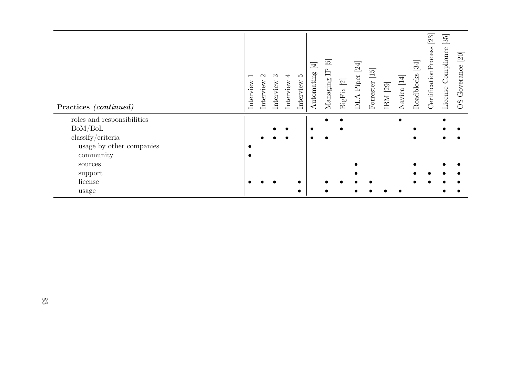| Practices (continued)                              | $\overline{ }$<br>Interview | Interview | ಌ<br>Interview | ↤<br>Interview | LΩ<br>Interview | $\overline{\Xi}$<br>Automating | $\overline{5}$<br>白<br>Managing | $\overline{\mathfrak{D}}$<br>$\mathbf{BigFix}$ | $\overline{24}$<br>DLA Piper | Forrester [15] | $\mbox{IBM}$ [29] | Navica <sup>[14]</sup> | [34]<br>Roadblocks | 23<br>CertificationProcess | $\overline{35}$<br>License Compliance | [20]<br>Goverance<br>SO |
|----------------------------------------------------|-----------------------------|-----------|----------------|----------------|-----------------|--------------------------------|---------------------------------|------------------------------------------------|------------------------------|----------------|-------------------|------------------------|--------------------|----------------------------|---------------------------------------|-------------------------|
| roles and responsibilities                         |                             |           |                |                |                 |                                |                                 |                                                |                              |                |                   |                        |                    |                            |                                       |                         |
| BoM/BoL                                            |                             |           |                |                |                 |                                |                                 |                                                |                              |                |                   |                        |                    |                            |                                       |                         |
| $\operatorname{classify}/\operatorname{criterion}$ |                             |           |                |                |                 |                                |                                 |                                                |                              |                |                   |                        |                    |                            |                                       |                         |
| usage by other companies                           |                             |           |                |                |                 |                                |                                 |                                                |                              |                |                   |                        |                    |                            |                                       |                         |
| community                                          |                             |           |                |                |                 |                                |                                 |                                                |                              |                |                   |                        |                    |                            |                                       |                         |
| sources                                            |                             |           |                |                |                 |                                |                                 |                                                |                              |                |                   |                        |                    |                            |                                       |                         |
| support                                            |                             |           |                |                |                 |                                |                                 |                                                |                              |                |                   |                        |                    |                            |                                       |                         |
| license                                            |                             |           |                |                |                 |                                |                                 |                                                |                              |                |                   |                        |                    |                            |                                       |                         |
| usage                                              |                             |           |                |                |                 |                                |                                 |                                                |                              |                |                   |                        |                    |                            |                                       |                         |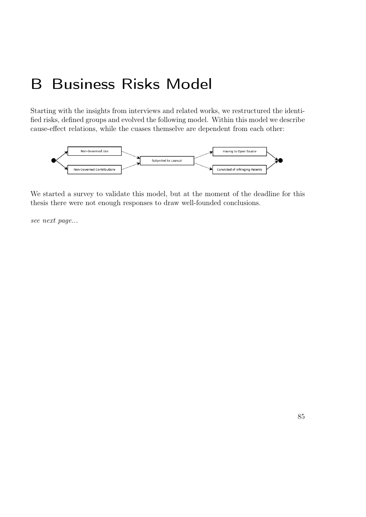# B Business Risks Model

Starting with the insights from interviews and related works, we restructured the identified risks, defined groups and evolved the following model. Within this model we describe cause-effect relations, while the cuases themselve are dependent from each other:



We started a survey to validate this model, but at the moment of the deadline for this thesis there were not enough responses to draw well-founded conclusions.

see next page...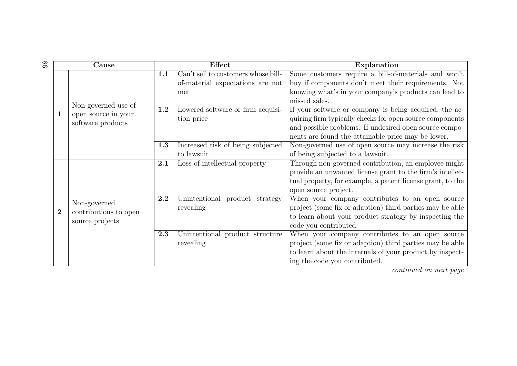| 86 |                | Cause                 |     | <b>Effect</b>                       | Explanation                                                |  |  |  |  |  |  |  |
|----|----------------|-----------------------|-----|-------------------------------------|------------------------------------------------------------|--|--|--|--|--|--|--|
|    |                |                       | 1.1 | Can't sell to customers whose bill- | Some customers require a bill-of-materials and won't       |  |  |  |  |  |  |  |
|    |                |                       |     | of-material expectations are not    | buy if components don't meet their requirements. Not       |  |  |  |  |  |  |  |
|    |                |                       |     | met                                 | knowing what's in your company's products can lead to      |  |  |  |  |  |  |  |
|    |                | Non-governed use of   |     |                                     | missed sales.                                              |  |  |  |  |  |  |  |
|    | $\mathbf{1}$   | open source in your   | 1.2 | Lowered software or firm acquisi-   | If your software or company is being acquired, the ac-     |  |  |  |  |  |  |  |
|    |                | software products     |     | tion price                          | quiring firm typically checks for open source components   |  |  |  |  |  |  |  |
|    |                |                       |     |                                     | and possible problems. If undesired open source compo-     |  |  |  |  |  |  |  |
|    |                |                       |     |                                     | nents are found the attainable price may be lower.         |  |  |  |  |  |  |  |
|    |                |                       | 1.3 | Increased risk of being subjected   | Non-governed use of open source may increase the risk      |  |  |  |  |  |  |  |
|    |                |                       |     | to lawsuit                          | of being subjected to a lawsuit.                           |  |  |  |  |  |  |  |
|    |                |                       | 2.1 | Loss of intellectual property       | Through non-governed contribution, an employee might       |  |  |  |  |  |  |  |
|    |                |                       |     |                                     | provide an unwanted license grant to the firm's intellec-  |  |  |  |  |  |  |  |
|    |                |                       |     |                                     | tual property, for example, a patent license grant, to the |  |  |  |  |  |  |  |
|    |                |                       |     |                                     | open source project.                                       |  |  |  |  |  |  |  |
|    |                | Non-governed          | 2.2 | Unintentional product strategy      | When your company contributes to an open source            |  |  |  |  |  |  |  |
|    | $\overline{2}$ | contributions to open |     | revealing                           | project (some fix or adaption) third parties may be able   |  |  |  |  |  |  |  |
|    |                | source projects       |     |                                     | to learn about your product strategy by inspecting the     |  |  |  |  |  |  |  |
|    |                |                       |     |                                     | code you contributed.                                      |  |  |  |  |  |  |  |
|    |                |                       | 2.3 | Unintentional product structure     | When your company contributes to an open source            |  |  |  |  |  |  |  |
|    |                |                       |     | revealing                           | project (some fix or adaption) third parties may be able   |  |  |  |  |  |  |  |
|    |                |                       |     |                                     | to learn about the internals of your product by inspect-   |  |  |  |  |  |  |  |
|    |                |                       |     |                                     | ing the code you contributed.                              |  |  |  |  |  |  |  |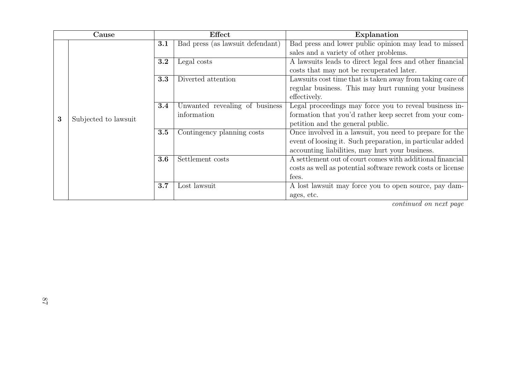|   | Cause                |     | Effect                           | Explanation                                                 |  |  |  |  |  |  |  |  |  |
|---|----------------------|-----|----------------------------------|-------------------------------------------------------------|--|--|--|--|--|--|--|--|--|
|   |                      | 3.1 | Bad press (as lawsuit defendant) | Bad press and lower public opinion may lead to missed       |  |  |  |  |  |  |  |  |  |
|   |                      |     |                                  | sales and a variety of other problems.                      |  |  |  |  |  |  |  |  |  |
|   |                      | 3.2 | Legal costs                      | A lawsuits leads to direct legal fees and other financial   |  |  |  |  |  |  |  |  |  |
|   |                      |     |                                  | costs that may not be recuperated later.                    |  |  |  |  |  |  |  |  |  |
|   |                      | 3.3 | Diverted attention               | Lawsuits cost time that is taken away from taking care of   |  |  |  |  |  |  |  |  |  |
|   |                      |     |                                  | regular business. This may hurt running your business       |  |  |  |  |  |  |  |  |  |
|   |                      |     |                                  | effectively.                                                |  |  |  |  |  |  |  |  |  |
|   |                      | 3.4 | Unwanted revealing of business   | Legal proceedings may force you to reveal business in-      |  |  |  |  |  |  |  |  |  |
| 3 | Subjected to lawsuit |     | information                      | formation that you'd rather keep secret from your com-      |  |  |  |  |  |  |  |  |  |
|   |                      |     |                                  | petition and the general public.                            |  |  |  |  |  |  |  |  |  |
|   |                      | 3.5 | Contingency planning costs       | Once involved in a law suit, you need to prepare for the    |  |  |  |  |  |  |  |  |  |
|   |                      |     |                                  | event of loosing it. Such preparation, in particular added  |  |  |  |  |  |  |  |  |  |
|   |                      |     |                                  | accounting liabilities, may hurt your business.             |  |  |  |  |  |  |  |  |  |
|   |                      | 3.6 | Settlement costs                 | A settlement out of court comes with additional financial   |  |  |  |  |  |  |  |  |  |
|   |                      |     |                                  | costs as well as potential software rework costs or license |  |  |  |  |  |  |  |  |  |
|   |                      |     |                                  | fees.                                                       |  |  |  |  |  |  |  |  |  |
|   |                      | 3.7 | Lost lawsuit                     | A lost lawsuit may force you to open source, pay dam-       |  |  |  |  |  |  |  |  |  |
|   |                      |     |                                  | ages, etc.                                                  |  |  |  |  |  |  |  |  |  |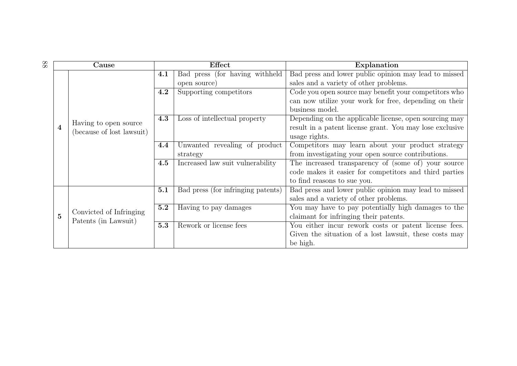| 88 |                | Cause                     |     | <b>Effect</b>                      | Explanation                                              |  |  |  |  |  |  |  |  |
|----|----------------|---------------------------|-----|------------------------------------|----------------------------------------------------------|--|--|--|--|--|--|--|--|
|    |                |                           | 4.1 | Bad press (for having withheld     | Bad press and lower public opinion may lead to missed    |  |  |  |  |  |  |  |  |
|    |                |                           |     | open source)                       | sales and a variety of other problems.                   |  |  |  |  |  |  |  |  |
|    |                |                           | 4.2 | Supporting competitors             | Code you open source may benefit your competitors who    |  |  |  |  |  |  |  |  |
|    |                |                           |     |                                    | can now utilize your work for free, depending on their   |  |  |  |  |  |  |  |  |
|    |                |                           |     |                                    | business model.                                          |  |  |  |  |  |  |  |  |
|    |                | Having to open source     | 4.3 | Loss of intellectual property      | Depending on the applicable license, open sourcing may   |  |  |  |  |  |  |  |  |
|    | 4              | (because of lost lawsuit) |     |                                    | result in a patent license grant. You may lose exclusive |  |  |  |  |  |  |  |  |
|    |                |                           |     |                                    | usage rights.                                            |  |  |  |  |  |  |  |  |
|    |                |                           | 4.4 | Unwanted revealing of product      | Competitors may learn about your product strategy        |  |  |  |  |  |  |  |  |
|    |                |                           |     | strategy                           | from investigating your open source contributions.       |  |  |  |  |  |  |  |  |
|    |                |                           | 4.5 | Increased law suit vulnerability   | The increased transparency of (some of) your source      |  |  |  |  |  |  |  |  |
|    |                |                           |     |                                    | code makes it easier for competitors and third parties   |  |  |  |  |  |  |  |  |
|    |                |                           |     |                                    | to find reasons to sue you.                              |  |  |  |  |  |  |  |  |
|    |                |                           | 5.1 | Bad press (for infringing patents) | Bad press and lower public opinion may lead to missed    |  |  |  |  |  |  |  |  |
|    |                |                           |     |                                    | sales and a variety of other problems.                   |  |  |  |  |  |  |  |  |
|    |                | Convicted of Infringing   | 5.2 | Having to pay damages              | You may have to pay potentially high damages to the      |  |  |  |  |  |  |  |  |
|    | $\overline{5}$ | Patents (in Lawsuit)      |     |                                    | claimant for infringing their patents.                   |  |  |  |  |  |  |  |  |
|    |                |                           | 5.3 | Rework or license fees             | You either incur rework costs or patent license fees.    |  |  |  |  |  |  |  |  |
|    |                |                           |     |                                    | Given the situation of a lost lawsuit, these costs may   |  |  |  |  |  |  |  |  |
|    |                |                           |     |                                    | be high.                                                 |  |  |  |  |  |  |  |  |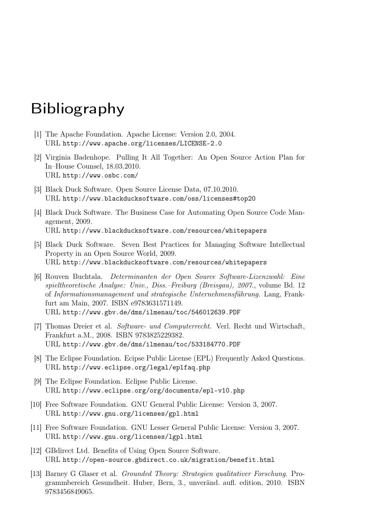# <span id="page-100-6"></span><span id="page-100-5"></span><span id="page-100-4"></span>Bibliography

- [1] The Apache Foundation. Apache License: Version 2.0, 2004. URL <http://www.apache.org/licenses/LICENSE-2.0>
- <span id="page-100-0"></span>[2] Virginia Badenhope. Pulling It All Together: An Open Source Action Plan for In–House Counsel, 18.03.2010. URL <http://www.osbc.com/>
- <span id="page-100-3"></span>[3] Black Duck Software. Open Source License Data, 07.10.2010. URL <http://www.blackducksoftware.com/oss/licenses#top20>
- <span id="page-100-1"></span>[4] Black Duck Software. The Business Case for Automating Open Source Code Management, 2009. URL <http://www.blackducksoftware.com/resources/whitepapers>
- <span id="page-100-2"></span>[5] Black Duck Software. Seven Best Practices for Managing Software Intellectual Property in an Open Source World, 2009. URL <http://www.blackducksoftware.com/resources/whitepapers>
- [6] Rouven Buchtala. Determinanten der Open Source Software-Lizenzwahl: Eine spieltheoretische Analyse: Univ., Diss.–Freiburg (Breisgau), 2007., volume Bd. 12 of Informationsmanagement und strategische Unternehmensführung. Lang, Frankfurt am Main, 2007. ISBN e9783631571149. URL <http://www.gbv.de/dms/ilmenau/toc/546012639.PDF>
- [7] Thomas Dreier et al. Software- und Computerrecht. Verl. Recht und Wirtschaft, Frankfurt a.M., 2008. ISBN 9783825229382. URL <http://www.gbv.de/dms/ilmenau/toc/533184770.PDF>
- [8] The Eclipse Foundation. Ecipse Public License (EPL) Frequently Asked Questions. URL <http://www.eclipse.org/legal/eplfaq.php>
- [9] The Eclipse Foundation. Eclipse Public License. URL <http://www.eclipse.org/org/documents/epl-v10.php>
- [10] Free Software Foundation. GNU General Public License: Version 3, 2007. URL <http://www.gnu.org/licenses/gpl.html>
- [11] Free Software Foundation. GNU Lesser General Public License: Version 3, 2007. URL <http://www.gnu.org/licenses/lgpl.html>
- [12] GBdirect Ltd. Benefits of Using Open Source Software. URL <http://open-source.gbdirect.co.uk/migration/benefit.html>
- [13] Barney G Glaser et al. Grounded Theory: Strategien qualitativer Forschung. Programmbereich Gesundheit. Huber, Bern, 3., unveränd. aufl. edition, 2010. ISBN 9783456849065.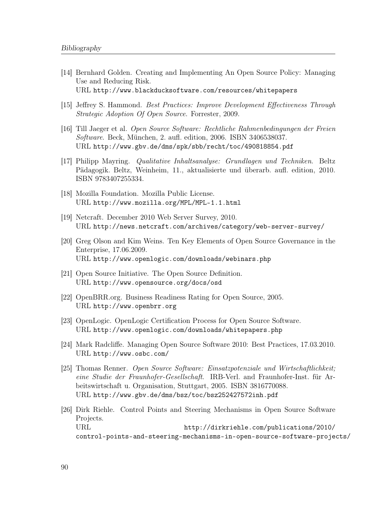- <span id="page-101-9"></span><span id="page-101-8"></span><span id="page-101-7"></span><span id="page-101-6"></span><span id="page-101-5"></span><span id="page-101-2"></span>[14] Bernhard Golden. Creating and Implementing An Open Source Policy: Managing Use and Reducing Risk. URL <http://www.blackducksoftware.com/resources/whitepapers>
- <span id="page-101-0"></span>[15] Jeffrey S. Hammond. Best Practices: Improve Development Effectiveness Through Strategic Adoption Of Open Source. Forrester, 2009.
- [16] Till Jaeger et al. Open Source Software: Rechtliche Rahmenbedingungen der Freien Software. Beck, München, 2. aufl. edition, 2006. ISBN 3406538037. URL <http://www.gbv.de/dms/spk/sbb/recht/toc/490818854.pdf>
- [17] Philipp Mayring. Qualitative Inhaltsanalyse: Grundlagen und Techniken. Beltz Pädagogik. Beltz, Weinheim, 11., aktualisierte und überarb. aufl. edition, 2010. ISBN 9783407255334.
- [18] Mozilla Foundation. Mozilla Public License. URL <http://www.mozilla.org/MPL/MPL-1.1.html>
- [19] Netcraft. December 2010 Web Server Survey, 2010. URL <http://news.netcraft.com/archives/category/web-server-survey/>
- <span id="page-101-4"></span>[20] Greg Olson and Kim Weins. Ten Key Elements of Open Source Governance in the Enterprise, 17.06.2009. URL <http://www.openlogic.com/downloads/webinars.php>
- [21] Open Source Initiative. The Open Source Definition. URL <http://www.opensource.org/docs/osd>
- [22] OpenBRR.org. Business Readiness Rating for Open Source, 2005. URL <http://www.openbrr.org>
- <span id="page-101-3"></span>[23] OpenLogic. OpenLogic Certification Process for Open Source Software. URL <http://www.openlogic.com/downloads/whitepapers.php>
- <span id="page-101-1"></span>[24] Mark Radcliffe. Managing Open Source Software 2010: Best Practices, 17.03.2010. URL <http://www.osbc.com/>
- [25] Thomas Renner. Open Source Software: Einsatzpotenziale und Wirtschaftlichkeit; eine Studie der Fraunhofer-Gesellschaft. IRB-Verl. and Fraunhofer-Inst. für Arbeitswirtschaft u. Organisation, Stuttgart, 2005. ISBN 3816770088. URL <http://www.gbv.de/dms/bsz/toc/bsz252427572inh.pdf>
- [26] Dirk Riehle. Control Points and Steering Mechanisms in Open Source Software Projects. URL [http://dirkriehle.com/publications/2010/](http://dirkriehle.com/publications/2010/control-points-and-steering-mechanisms-in-open-source-software-projects/) [control-points-and-steering-mechanisms-in-open-source-software-projects/](http://dirkriehle.com/publications/2010/control-points-and-steering-mechanisms-in-open-source-software-projects/)